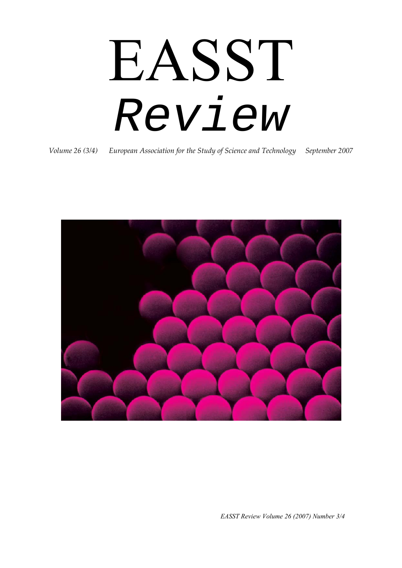# EASST *Review*

*Volume 26 (3/4) European Association for the Study of Science and Technology September 2007*

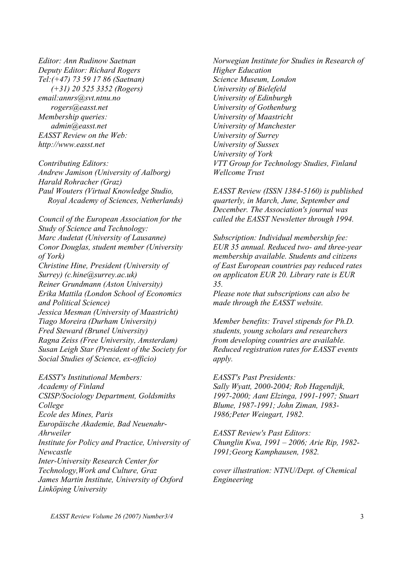*Editor: Ann Rudinow Saetnan Deputy Editor: Richard Rogers Tel:(+47) 73 59 17 86 (Saetnan) (+31) 20 525 3352 (Rogers) email:annrs@svt.ntnu.no rogers@easst.net Membership queries: admin@easst.net EASST Review on the Web: http://www.easst.net* 

*Contributing Editors: Andrew Jamison (University of Aalborg) Harald Rohracher (Graz) Paul Wouters (Virtual Knowledge Studio, Royal Academy of Sciences, Netherlands)* 

*Council of the European Association for the Study of Science and Technology: Marc Audetat (University of Lausanne) Conor Douglas, student member (University of York) Christine Hine, President (University of Surrey) (c.hine@surrey.ac.uk) Reiner Grundmann (Aston University) Erika Mattila (London School of Economics and Political Science) Jessica Mesman (University of Maastricht) Tiago Moreira (Durham University) Fred Steward (Brunel University) Ragna Zeiss (Free University, Amsterdam) Susan Leigh Star (President of the Society for Social Studies of Science, ex-officio)* 

*EASST's Institutional Members: Academy of Finland CSISP/Sociology Department, Goldsmiths College Ecole des Mines, Paris Europäische Akademie, Bad Neuenahr-Ahrweiler Institute for Policy and Practice, University of Newcastle Inter-University Research Center for Technology,Work and Culture, Graz James Martin Institute, University of Oxford Linköping University* 

*Norwegian Institute for Studies in Research of Higher Education Science Museum, London University of Bielefeld University of Edinburgh University of Gothenburg University of Maastricht University of Manchester University of Surrey University of Sussex University of York VTT Group for Technology Studies, Finland Wellcome Trust* 

*EASST Review (ISSN 1384-5160) is published quarterly, in March, June, September and December. The Association's journal was called the EASST Newsletter through 1994.* 

*Subscription: Individual membership fee: EUR 35 annual. Reduced two- and three-year membership available. Students and citizens of East European countries pay reduced rates on applicaton EUR 20. Library rate is EUR 35.* 

*Please note that subscriptions can also be made through the EASST website.* 

*Member benefits: Travel stipends for Ph.D. students, young scholars and researchers from developing countries are available. Reduced registration rates for EASST events apply.* 

*EASST's Past Presidents: Sally Wyatt, 2000-2004; Rob Hagendijk, 1997-2000; Aant Elzinga, 1991-1997; Stuart Blume, 1987-1991; John Ziman, 1983- 1986;Peter Weingart, 1982.* 

*EASST Review's Past Editors: Chunglin Kwa, 1991 – 2006; Arie Rip, 1982- 1991;Georg Kamphausen, 1982.* 

*cover illustration: NTNU/Dept. of Chemical Engineering*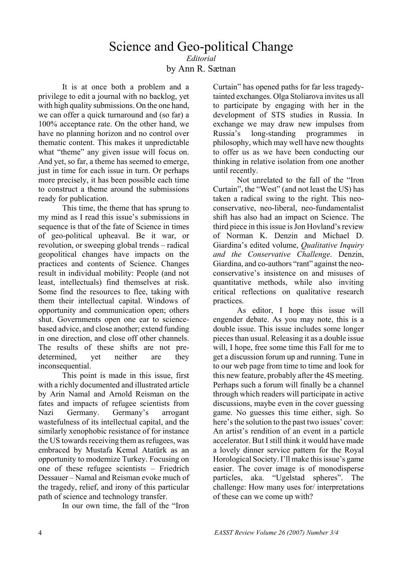# Science and Geo-political Change *Editorial*  by Ann R. Sætnan

It is at once both a problem and a privilege to edit a journal with no backlog, yet with high quality submissions. On the one hand, we can offer a quick turnaround and (so far) a 100% acceptance rate. On the other hand, we have no planning horizon and no control over thematic content. This makes it unpredictable what "theme" any given issue will focus on. And yet, so far, a theme has seemed to emerge, just in time for each issue in turn. Or perhaps more precisely, it has been possible each time to construct a theme around the submissions ready for publication.

This time, the theme that has sprung to my mind as I read this issue's submissions in sequence is that of the fate of Science in times of geo-political upheaval. Be it war, or revolution, or sweeping global trends – radical geopolitical changes have impacts on the practices and contents of Science. Changes result in individual mobility: People (and not least, intellectuals) find themselves at risk. Some find the resources to flee, taking with them their intellectual capital. Windows of opportunity and communication open; others shut. Governments open one ear to sciencebased advice, and close another; extend funding in one direction, and close off other channels. The results of these shifts are not predetermined, yet neither are they inconsequential.

This point is made in this issue, first with a richly documented and illustrated article by Arin Namal and Arnold Reisman on the fates and impacts of refugee scientists from Nazi Germany. Germany's arrogant wastefulness of its intellectual capital, and the similarly xenophobic resistance of for instance the US towards receiving them as refugees, was embraced by Mustafa Kemal Atatürk as an opportunity to modernize Turkey. Focusing on one of these refugee scientists – Friedrich Dessauer – Namal and Reisman evoke much of the tragedy, relief, and irony of this particular path of science and technology transfer.

In our own time, the fall of the "Iron

Curtain" has opened paths for far less tragedytainted exchanges. Olga Stoliarova invites us all to participate by engaging with her in the development of STS studies in Russia. In exchange we may draw new impulses from Russia's long-standing programmes in philosophy, which may well have new thoughts to offer us as we have been conducting our thinking in relative isolation from one another until recently.

Not unrelated to the fall of the "Iron Curtain", the "West" (and not least the US) has taken a radical swing to the right. This neoconservative, neo-liberal, neo-fundamentalist shift has also had an impact on Science. The third piece in this issue is Jon Hovland's review of Norman K. Denzin and Michael D. Giardina's edited volume, *Qualitative Inquiry and the Conservative Challenge*. Denzin, Giardina, and co-authors "rant" against the neoconservative's insistence on and misuses of quantitative methods, while also inviting critical reflections on qualitative research practices.

As editor, I hope this issue will engender debate. As you may note, this is a double issue. This issue includes some longer pieces than usual. Releasing it as a double issue will, I hope, free some time this Fall for me to get a discussion forum up and running. Tune in to our web page from time to time and look for this new feature, probably after the 4S meeting. Perhaps such a forum will finally be a channel through which readers will participate in active discussions, maybe even in the cover guessing game. No guesses this time either, sigh. So here's the solution to the past two issues' cover: An artist's rendition of an event in a particle accelerator. But I still think it would have made a lovely dinner service pattern for the Royal Horological Society. I'll make this issue's game easier. The cover image is of monodisperse particles, aka. "Ugelstad spheres". The challenge: How many uses for/ interpretations of these can we come up with?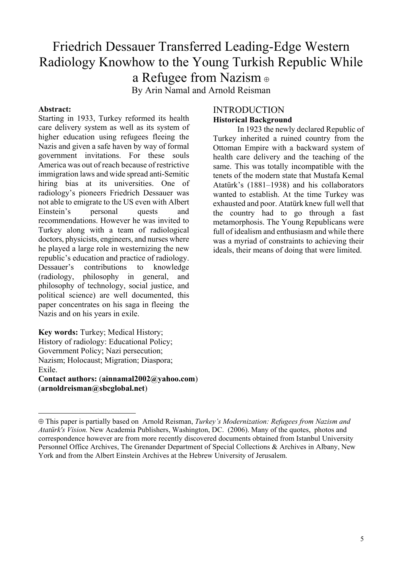# Friedrich Dessauer Transferred Leading-Edge Western Radiology Knowhow to the Young Turkish Republic While a Refugee from Nazism [⊕](#page-3-0) By Arin Namal and Arnold Reisman

#### **Abstract:**

 $\overline{a}$ 

Starting in 1933, Turkey reformed its health care delivery system as well as its system of higher education using refugees fleeing the Nazis and given a safe haven by way of formal government invitations. For these souls America was out of reach because of restrictive immigration laws and wide spread anti-Semitic hiring bias at its universities. One of radiology's pioneers Friedrich Dessauer was not able to emigrate to the US even with Albert Einstein's personal quests and recommendations. However he was invited to Turkey along with a team of radiological doctors, physicists, engineers, and nurses where he played a large role in westernizing the new republic's education and practice of radiology. Dessauer's contributions to knowledge (radiology, philosophy in general, and philosophy of technology, social justice, and political science) are well documented, this paper concentrates on his saga in fleeing the Nazis and on his years in exile.

**Key words:** Turkey; Medical History; History of radiology: Educational Policy; Government Policy; Nazi persecution; Nazism; Holocaust; Migration; Diaspora; Exile. **Contact authors:** (**ainnamal2002@yahoo.com**)

(**arnoldreisman@sbcglobal.net**)

## **INTRODUCTION Historical Background**

In 1923 the newly declared Republic of Turkey inherited a ruined country from the Ottoman Empire with a backward system of health care delivery and the teaching of the same. This was totally incompatible with the tenets of the modern state that Mustafa Kemal Atatürk's (1881–1938) and his collaborators wanted to establish. At the time Turkey was exhausted and poor. Atatürk knew full well that the country had to go through a fast metamorphosis. The Young Republicans were full of idealism and enthusiasm and while there was a myriad of constraints to achieving their ideals, their means of doing that were limited.

<span id="page-3-0"></span><sup>⊕</sup> This paper is partially based on Arnold Reisman, *Turkey's Modernization: Refugees from Nazism and Atatürk's Vision.* New Academia Publishers, Washington, DC. (2006). Many of the quotes, photos and correspondence however are from more recently discovered documents obtained from Istanbul University Personnel Office Archives, The Grenander Department of Special Collections & Archives in Albany, New York and from the Albert Einstein Archives at the Hebrew University of Jerusalem.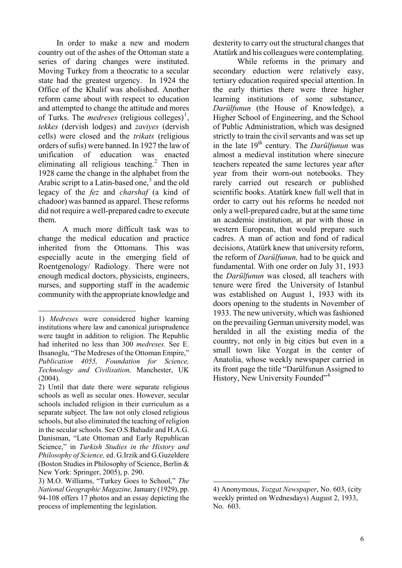In order to make a new and modern country out of the ashes of the Ottoman state a series of daring changes were instituted. Moving Turkey from a theocratic to a secular state had the greatest urgency. In 1924 the Office of the Khalif was abolished. Another reform came about with respect to education and attempted to change the attitude and mores of Turks. The *medreses* (religious colleges)<sup>[1](#page-4-0)</sup>, *tekkes* (dervish lodges) and *zaviyes* (dervish cells) were closed and the *trikats* (religious orders of sufis) were banned. In 1927 the law of unification of education was enacted eliminating all religious teaching.<sup>[2](#page-4-1)</sup> Then in 1928 came the change in the alphabet from the Arabic script to a Latin-based one, $3$  and the old legacy of the *fez* and *charshaf* (a kind of chadoor) was banned as apparel. These reforms did not require a well-prepared cadre to execute them.

A much more difficult task was to change the medical education and practice inherited from the Ottomans. This was especially acute in the emerging field of Roentgenology/ Radiology. There were not enough medical doctors, physicists, engineers, nurses, and supporting staff in the academic community with the appropriate knowledge and dexterity to carry out the structural changes that Atatürk and his colleagues were contemplating.

While reforms in the primary and secondary eduction were relatively easy, tertiary education required special attention. In the early thirties there were three higher learning institutions of some substance, *Darülfunun* (the House of Knowledge), a Higher School of Engineering, and the School of Public Administration, which was designed strictly to train the civil servants and was set up in the late 19th century. The *Darülfunun* was almost a medieval institution where sinecure teachers repeated the same lectures year after year from their worn-out notebooks. They rarely carried out research or published scientific books. Atatürk knew full well that in order to carry out his reforms he needed not only a well-prepared cadre, but at the same time an academic institution, at par with those in western European, that would prepare such cadres. A man of action and fond of radical decisions, Atatürk knew that university reform the reform of *Darülfunun,* had to be quick and fundamental. With one order on July 31, 1933 the *Darülfunun* was closed, all teachers with tenure were fired the University of Istanbul was established on August 1, 1933 with its doors opening to the students in November of 1933. The new university, which was fashioned on the prevailing German university model, was heralded in all the existing media of the country, not only in big cities but even in a small town like Yozgat in the center of Anatolia, whose weekly newspaper carried in its front page the title "Darülfunun Assigned to History, New University Founded"<sup>[4](#page-4-3)</sup>

<span id="page-4-0"></span> $\overline{a}$ 1) *Medreses* were considered higher learning institutions where law and canonical jurisprudence were taught in addition to religion. The Republic had inherited no less than 300 *medreses.* See E. Ihsanoglu, "The Medreses of the Ottoman Empire," *Publication 4055, Foundation for Science, Technology and Civilisation,* Manchester, UK (2004).

<span id="page-4-1"></span><sup>2)</sup> Until that date there were separate religious schools as well as secular ones. However, secular schools included religion in their curriculum as a separate subject. The law not only closed religious schools, but also eliminated the teaching of religion in the secular schools. See O.S.Bahadir and H.A.G. Danisman, "Late Ottoman and Early Republican Science," in *Turkish Studies in the History and Philosophy of Science,* ed. G.Irzik and G.Guzeldere (Boston Studies in Philosophy of Science, Berlin & New York: Springer, 2005), p. 290.

<span id="page-4-3"></span><span id="page-4-2"></span><sup>3)</sup> M.O. Williams, "Turkey Goes to School," *The National Geographic Magazine,* January (1929), pp. 94-108 offers 17 photos and an essay depicting the process of implementing the legislation.

<sup>4)</sup> Anonymous, *Yozgat Newspaper*, No. 603, (city weekly printed on Wednesdays) August 2, 1933, No. 603.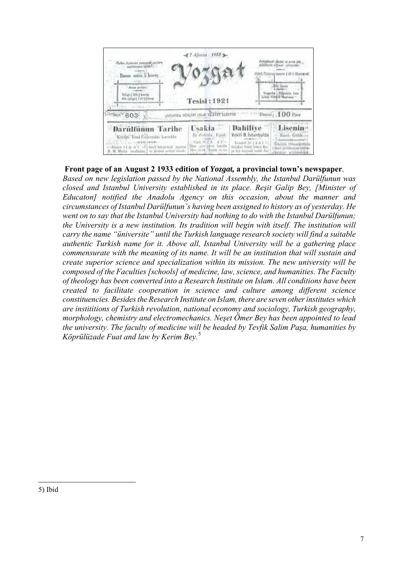

#### **Front page of an August 2 1933 edition of** *Yozgat,* **a provincial town's newspaper**.

<span id="page-5-0"></span>*Based on new legislation passed by the National Assembly, the Istanbul Darülfunun was closed and Istanbul University established in its place. Reşit Galip Bey, [Minister of Educaton] notified the Anadolu Agency on this occasion, about the manner and circumstances of Istanbul Darülfunun's having been assigned to history as of yesterday. He went on to say that the Istanbul University had nothing to do with the Istanbul Darülfunun; the University is a new institution. Its tradition will begin with itself. The institution will carry the name "üniversite" until the Turkish language research society will find a suitable authentic Turkish name for it. Above all, Istanbul University will be a gathering place commensurate with the meaning of its name. It will be an institution that will sustain and create superior science and specialization within its mission. The new university will be composed of the Faculties [schools] of medicine, law, science, and humanities. The Faculty of theology has been converted into a Research Institute on Islam. All conditions have been created to facilitate cooperation in science and culture among different science constituencies. Besides the Research Institute on Islam, there are seven other institutes which are instititions of Turkish revolution, national economy and sociology, Turkish geography, morphology, chemistry and electromechanics. Neşet Ömer Bey has been appointed to lead the university. The faculty of medicine will be headed by Tevfik Salim Paşa, humanities by Köprülüzade Fuat and law by Kerim Bey.*[5](#page-5-0)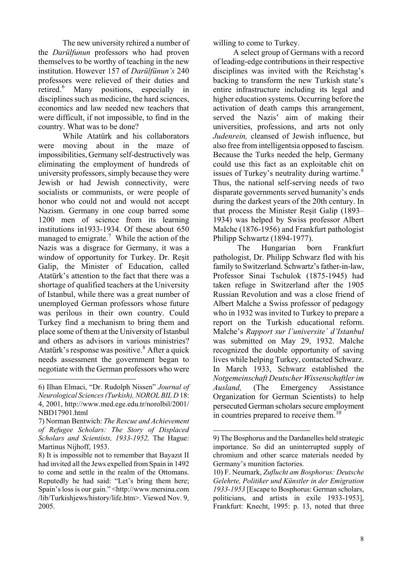The new university rehired a number of the *Darülfunun* professors who had proven themselves to be worthy of teaching in the new institution. However 157 of *Darülfünun's* 240 professors were relieved of their duties and retired.<sup>[6](#page-6-0)</sup> Many positions, especially in disciplines such as medicine, the hard sciences, economics and law needed new teachers that were difficult, if not impossible, to find in the country. What was to be done?

While Atatürk and his collaborators were moving about in the maze of impossibilities, Germany self-destructively was eliminating the employment of hundreds of university professors, simply because they were Jewish or had Jewish connectivity, were socialists or communists, or were people of honor who could not and would not accept Nazism. Germany in one coup barred some 1200 men of science from its learning institutions in1933-1934. Of these about 650 managed to emigrate.<sup>[7](#page-6-1)</sup> While the action of the Nazis was a disgrace for Germany, it was a window of opportunity for Turkey. Dr. Reşit Galip, the Minister of Education, called Atatürk's attention to the fact that there was a shortage of qualified teachers at the University of Istanbul, while there was a great number of unemployed German professors whose future was perilous in their own country. Could Turkey find a mechanism to bring them and place some of them at the University of Istanbul and others as advisors in various ministries? Atatürk's response was positive.<sup>[8](#page-6-2)</sup> After a quick needs assessment the government began to negotiate with the German professors who were

 $\overline{a}$ 

willing to come to Turkey.

 A select group of Germans with a record of leading-edge contributions in their respective disciplines was invited with the Reichstag's backing to transform the new Turkish state's entire infrastructure including its legal and higher education systems. Occurring before the activation of death camps this arrangement, served the Nazis' aim of making their universities, professions, and arts not only *Judenrein,* cleansed of Jewish influence, but also free from intelligentsia opposed to fascism. Because the Turks needed the help, Germany could use this fact as an exploitable chit on issues of Turkey's neutrality during wartime.<sup>[9](#page-6-3)</sup> Thus, the national self-serving needs of two disparate governments served humanity's ends during the darkest years of the 20th century. In that process the Minister Reşit Galip (1893– 1934) was helped by Swiss professor Albert Malche (1876-1956) and Frankfurt pathologist Philipp Schwartz (1894-1977).

The Hungarian born Frankfurt pathologist, Dr. Philipp Schwarz fled with his family to Switzerland. Schwartz's father-in-law, Professor Sinai Tschulok (1875-1945) had taken refuge in Switzerland after the 1905 Russian Revolution and was a close friend of Albert Malche a Swiss professor of pedagogy who in 1932 was invited to Turkey to prepare a report on the Turkish educational reform. Malche's *Rapport sur l'universite´ d'Istanbul*  was submitted on May 29, 1932. Malche recognized the double opportunity of saving lives while helping Turkey, contacted Schwarz. In March 1933, Schwarz established the *Notgemeinschaft Deutscher Wissenschaftler im Ausland,* (The Emergency Assistance Organization for German Scientists) to help persecuted German scholars secure employment in countries prepared to receive them.<sup>[10](#page-6-4)</sup>

<span id="page-6-0"></span><sup>6)</sup> Ilhan Elmaci, "Dr. Rudolph Nissen" *Journal of Neurological Sciences (Turkish), NOROL BIL D* 18: 4, 2001, http://www.med.ege.edu.tr/norolbil/2001/ NBD17901.html

<span id="page-6-1"></span><sup>7)</sup> Norman Bentwich: *The Rescue and Achievement of Refugee Scholars: The Story of Displaced Scholars and Scientists, 1933-1952,* The Hague: Martinus Nijhoff, 1953.

<span id="page-6-4"></span><span id="page-6-3"></span><span id="page-6-2"></span><sup>8)</sup> It is impossible not to remember that Bayazıt II had invited all the Jews expelled from Spain in 1492 to come and settle in the realm of the Ottomans. Reputedly he had said: "Let's bring them here; Spain's loss is our gain." <http://www.mersina.com /lib/Turkishjews/history/life.htm>. Viewed Nov. 9, 2005.

<sup>9)</sup> The Bosphorus and the Dardanelles held strategic importance. So did an uninterrupted supply of chromium and other scarce materials needed by Germany's munition factories.

<sup>10)</sup> F. Neumark, *Zuflucht am Bosphorus: Deutsche Gelehrte, Politiker und Künstler in der Emigration 1933-1953* [Escape to Bosphorus: German scholars, politicians, and artists in exile 1933-1953], Frankfurt: Knecht, 1995: p. 13, noted that three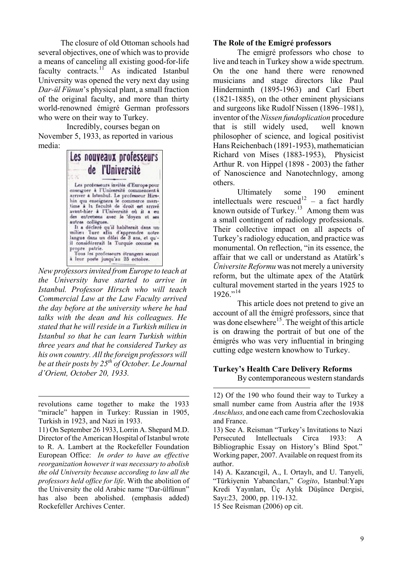The closure of old Ottoman schools had several objectives, one of which was to provide a means of canceling all existing good-for-life faculty contracts.<sup>[11](#page-7-0)</sup> As indicated Istanbul University was opened the very next day using *Dar-ül Fünun*'s physical plant, a small fraction of the original faculty, and more than thirty world-renowned émigré German professors who were on their way to Turkey.

 Incredibly, courses began on November 5, 1933, as reported in various media:



*New professors invited from Europe to teach at the University have started to arrive in Istanbul. Professor Hirsch who will teach Commercial Law at the Law Faculty arrived the day before at the university where he had talks with the dean and his colleagues. He stated that he will reside in a Turkish milieu in Istanbul so that he can learn Turkish within three years and that he considered Turkey as his own country. All the foreign professors will be at their posts by 25th of October. Le Journal d'Orient, October 20, 1933.*

#### **The Role of the Emigré professors**

The emigré professors who chose to live and teach in Turkey show a wide spectrum. On the one hand there were renowned musicians and stage directors like Paul Hinderminth (1895-1963) and Carl Ebert (1821-1885), on the other eminent physicians and surgeons like [Rudolf Nissen](http://en.wikipedia.org/w/index.php?title=Rudolf_Nissen&action=edit) (1896–1981), inventor of the *Nissen fundoplication* procedure that is still widely used, well known philosopher of science, and logical positivist Hans Reichenbach (1891-1953), mathematician Richard von Mises (1883-1953), Physicist Arthur R. von Hippel (1898 - 2003) the father of Nanoscience and Nanotechnlogy, among others.

Ultimately some 190 eminent intellectuals were rescued<sup>[12](#page-7-1)</sup> – a fact hardly known outside of Turkey.<sup>[13](#page-7-0)</sup> Among them was a small contingent of radiology professionals. Their collective impact on all aspects of Turkey's radiology education, and practice was monumental. On reflection, "in its essence, the affair that we call or understand as Atatürk's *Üniversite Reformu* was not merely a university reform, but the ultimate apex of the Atatürk cultural movement started in the years 1925 to  $1926$ <sup>"[14](#page-7-2)</sup>

This article does not pretend to give an account of all the émigré professors, since that was done elsewhere<sup>[15](#page-7-3)</sup>. The weight of this article is on drawing the portrait of but one of the émigrés who was very influential in bringing cutting edge western knowhow to Turkey.

#### **Turkey's Health Care Delivery Reforms**  By contemporaneous western standards

15 See Reisman (2006) op cit.

<span id="page-7-1"></span> $\overline{a}$ revolutions came together to make the 1933 "miracle" happen in Turkey: Russian in 1905, Turkish in 1923, and Nazi in 1933.

<span id="page-7-3"></span><span id="page-7-2"></span><span id="page-7-0"></span><sup>11)</sup> On September 26 1933, Lorrin A. Shepard M.D. Director of the American Hospital of Istanbul wrote to R. A. Lambert at the Rockefeller Foundation European Office: *In order to have an effective reorganization however it was necessary to abolish the old University because according to law all the professors held office for life*. With the abolition of the University the old Arabic name "Dar-ülfünun" has also been abolished. (emphasis added) Rockefeller Archives Center.

<sup>12)</sup> Of the 190 who found their way to Turkey a small number came from Austria after the 1938 *Anschluss,* and one each came from Czechoslovakia and France.

<sup>13)</sup> See A. Reisman "Turkey's Invitations to Nazi Persecuted Intellectuals Circa 1933: A Bibliographic Essay on History's Blind Spot." Working paper, 2007. Available on request from its author.

<sup>14)</sup> A. Kazancıgil, A., I. Ortaylı, and U. Tanyeli, "Türkiyenin Yabancıları," *Cogito*, Istanbul:Yapı Kredi Yayınları, Üç Aylık Düşünce Dergisi, Sayı:23, 2000, pp. 119-132.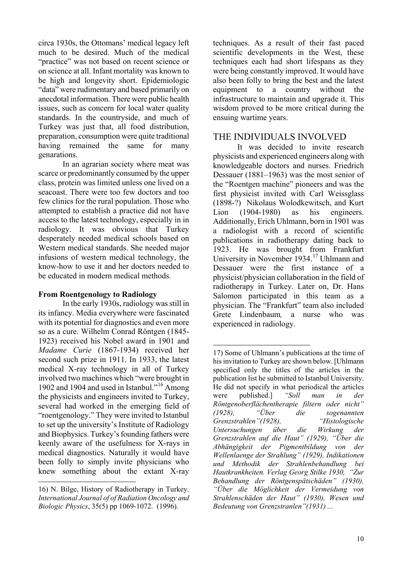circa 1930s, the Ottomans' medical legacy left much to be desired. Much of the medical "practice" was not based on recent science or on science at all. Infant mortality was known to be high and longevity short. Epidemiologic "data" were rudimentary and based primarily on anecdotal information. There were public health issues, such as concern for local water quality standards. In the countryside, and much of Turkey was just that, all food distribution, preparation, consumption were quite traditional having remained the same for many genarations.

In an agrarian society where meat was scarce or predominantly consumed by the upper class, protein was limited unless one lived on a seacoast. There were too few doctors and too few clinics for the rural population. Those who attempted to establish a practice did not have access to the latest technology, especially in in radiology. It was obvious that Turkey desperately needed medical schools based on Western medical standards. She needed major infusions of western medical technology, the know-how to use it and her doctors needed to be educated in modern medical methods.

#### **From Roentgenology to Radiology**

<span id="page-8-1"></span>In the early 1930s, radiology was still in its infancy. Media everywhere were fascinated with its potential for diagnostics and even more so as a cure. Wilhelm Conrad Röntgen (1845- 1923) received his Nobel award in 1901 and *Madame Curie* (1867-1934) received her second such prize in 1911. In 1933, the latest medical X-ray technology in all of Turkey involved two machines which "were brought in 1902 and 1904 and used in Istanbul."[16](#page-8-0) Among the physicists and engineers invited to Turkey, several had worked in the emerging field of "roentgenology." They were invited to Istanbul to set up the university's Institute of Radiology and Biophysics. Turkey's founding fathers were keenly aware of the usefulness for X-rays in medical diagnostics. Naturally it would have been folly to simply invite physicians who knew something about the extant X-ray

 $\overline{a}$ 

techniques. As a result of their fast paced scientific developments in the West, these techniques each had short lifespans as they were being constantly improved. It would have also been folly to bring the best and the latest equipment to a country without the infrastructure to maintain and upgrade it. This wisdom proved to be more critical during the ensuing wartime years.

## THE INDIVIDUALS INVOLVED

It was decided to invite research physicists and experienced engineers along with knowledgeable doctors and nurses. Friedrich Dessauer (1881–1963) was the most senior of the "Roentgen machine" pioneers and was the first physicist invited with Carl Weissglass (1898-?) Nikolaus Wolodkewitsch, and Kurt Lion (1904-1980) as his engineers. Additionally, Erich Uhlmann, born in 1901 was a radiologist with a record of scientific publications in radiotherapy dating back to 1923. He was brought from Frankfurt University in November 1934.<sup>[17](#page-8-1)</sup> Uhlmann and Dessauer were the first instance of a physicist/physician collaboration in the field of radiotherapy in Turkey. Later on, Dr. Hans Salomon participated in this team as a physician. The "Frankfurt" team also included Grete Lindenbaum*,* a nurse who was experienced in radiology.

<span id="page-8-0"></span><sup>16)</sup> N. Bilge, History of Radiotherapy in Turkey. *International Journal of of Radiation Oncology and Biologic Physics*, 35(5) pp 1069-1072. (1996).

 $\overline{a}$ 17) Some of Uhlmann's publications at the time of his invitation to Turkey are shown below. [Uhlmann specified only the titles of the articles in the publication list he submitted to Istanbul University. He did not specify in what periodical the articles were published.] *"Soll man in der Röntgenoberflächentherapie filtern oder nicht" (1928), "Über die sogenannten Grenzstrahlen"(1928), "Histologische Untersuchungen über die Wirkung der Grenzstrahlen auf die Haut" (1929), "Über die Abhängigkeit der Pigmentbildung von der Wellenlaenge der Strahlung" (1929), Indikationen und Methodik der Strahlenbehandlung bei Hautkrankheiten. Verlag Georg Stilke 1930, "Zur Behandlung der Röntgenspätschäden" (1930), "Über die Möglichkeit der Vermeidung von Strahlenschäden der Haut" (1930), Wesen und Bedeutung von Grenzstranlen"(1931) ...*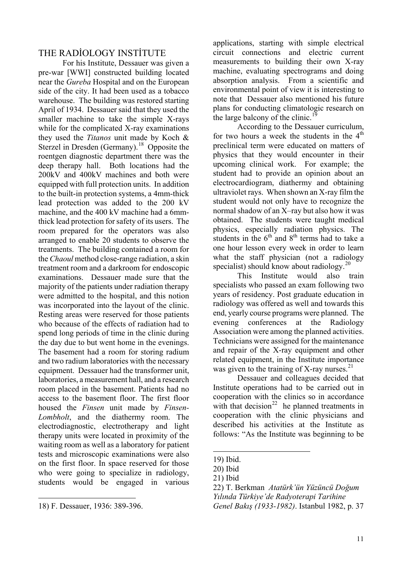## THE RADİOLOGY INSTİTUTE

For his Institute, Dessauer was given a pre-war [WWI] constructed building located near the *Gureba* Hospital and on the European side of the city. It had been used as a tobacco warehouse. The building was restored starting April of 1934. Dessauer said that they used the smaller machine to take the simple X-rays while for the complicated X-ray examinations they used the *Titanos* unit made by Koch & Sterzel in Dresden (Germany).<sup>[18](#page-9-0)</sup> Opposite the roentgen diagnostic department there was the deep therapy hall. Both locations had the 200kV and 400kV machines and both were equipped with full protection units. In addition to the built-in protection systems, a 4mm-thick lead protection was added to the 200 kV machine, and the 400 kV machine had a 6mmthick lead protection for safety of its users. The room prepared for the operators was also arranged to enable 20 students to observe the treatments. The building contained a room for the *Chaoul* method close-range radiation, a skin treatment room and a darkroom for endoscopic examinations. Dessauer made sure that the majority of the patients under radiation therapy were admitted to the hospital, and this notion was incorporated into the layout of the clinic. Resting areas were reserved for those patients who because of the effects of radiation had to spend long periods of time in the clinic during the day due to but went home in the evenings. The basement had a room for storing radium and two radium laboratories with the necessary equipment. Dessauer had the transformer unit, laboratories, a measurement hall, and a research room placed in the basement. Patients had no access to the basement floor. The first floor housed the *Finsen* unit made by *Finsen-Lombholt*, and the diathermy room. The electrodiagnostic, electrotherapy and light therapy units were located in proximity of the waiting room as well as a laboratory for patient tests and microscopic examinations were also on the first floor. In space reserved for those who were going to specialize in radiology, students would be engaged in various

<span id="page-9-4"></span><span id="page-9-3"></span><span id="page-9-2"></span><span id="page-9-1"></span> $\overline{a}$ 

applications, starting with simple electrical circuit connections and electric current measurements to building their own X-ray machine, evaluating spectrograms and doing absorption analysis. From a scientific and environmental point of view it is interesting to note that Dessauer also mentioned his future plans for conducting climatologic research on the large balcony of the clinic.<sup>[19](#page-9-1)</sup>

According to the Dessauer curriculum, for two hours a week the students in the  $4<sup>th</sup>$ preclinical term were educated on matters of physics that they would encounter in their upcoming clinical work. For example; the student had to provide an opinion about an electrocardiogram, diathermy and obtaining ultraviolet rays. When shown an X-ray film the student would not only have to recognize the normal shadow of an X–ray but also how it was obtained. The students were taught medical physics, especially radiation physics. The students in the  $6<sup>th</sup>$  and  $8<sup>th</sup>$  terms had to take a one hour lesson every week in order to learn what the staff physician (not a radiology specialist) should know about radiology.<sup>[20](#page-9-2)</sup>

This Institute would also train specialists who passed an exam following two years of residency. Post graduate education in radiology was offered as well and towards this end, yearly course programs were planned. The evening conferences at the Radiology Association were among the planned activities. Technicians were assigned for the maintenance and repair of the X-ray equipment and other related equipment, in the Institute importance was given to the training of X-ray nurses.<sup>[21](#page-9-3)</sup>

Dessauer and colleagues decided that Institute operations had to be carried out in cooperation with the clinics so in accordance with that decision<sup>[22](#page-9-4)</sup> he planned treatments in cooperation with the clinic physicians and described his activities at the Institute as follows: "As the Institute was beginning to be

<span id="page-9-0"></span><sup>18)</sup> F. Dessauer, 1936: 389-396.

<sup>19)</sup> Ibid.

<sup>20)</sup> Ibid

<sup>21)</sup> Ibid

<sup>22)</sup> T. Berkman *Atatürk'ün Yüzüncü Doğum Yılında Türkiye'de Radyoterapi Tarihine Genel Bakış (1933-1982)*. Istanbul 1982, p. 37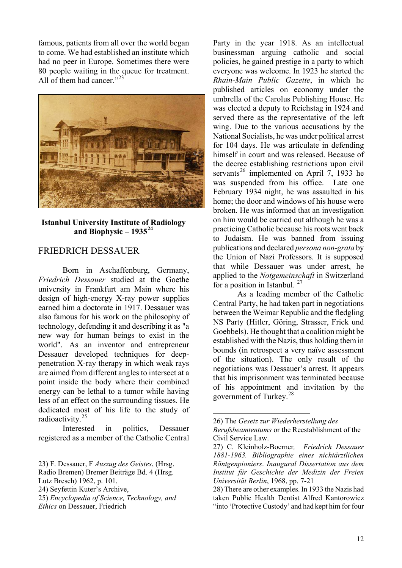famous, patients from all over the world began to come. We had established an institute which had no peer in Europe. Sometimes there were 80 people waiting in the queue for treatment. All of them had cancer."<sup>[23](#page-10-0)</sup>



#### **Istanbul University Institute of Radiology and Biophysic – 1935[24](#page-10-1)**

#### FRIEDRICH DESSAUER

Born in Aschaffenburg, Germany, *Friedrich Dessauer* studied at the Goethe university in Frankfurt am Main where his design of high-energy X-ray power supplies earned him a doctorate in 1917. Dessauer was also famous for his work on the philosophy of technology, defending it and describing it as "a new way for human beings to exist in the world". As an inventor and entrepreneur Dessauer developed techniques for deeppenetration X-ray therapy in which weak rays are aimed from different angles to intersect at a point inside the body where their combined energy can be lethal to a tumor while having less of an effect on the surrounding tissues. He dedicated most of his life to the study of radioactivity.[25](#page-10-2)

<span id="page-10-3"></span>Interested in politics, Dessauer registered as a member of the Catholic Central

<span id="page-10-4"></span> $\overline{a}$ 

Party in the year 1918. As an intellectual businessman arguing catholic and social policies, he gained prestige in a party to which everyone was welcome. In 1923 he started the *Rhain-Main Public Gazette*, in which he published articles on economy under the umbrella of the Carolus Publishing House. He was elected a deputy to Reichstag in 1924 and served there as the representative of the left wing. Due to the various accusations by the National Socialists, he was under political arrest for 104 days. He was articulate in defending himself in court and was released. Because of the decree establishing restrictions upon civil servants<sup>[26](#page-10-3)</sup> implemented on April 7, 1933 he was suspended from his office. Late one February 1934 night, he was assaulted in his home; the door and windows of his house were broken. He was informed that an investigation on him would be carried out although he was a practicing Catholic because his roots went back to Judaism. He was banned from issuing publications and declared *persona non-grata* by the Union of Nazi Professors. It is supposed that while Dessauer was under arrest, he applied to the *Notgemeinschaft* in Switzerland for a position in Istanbul.<sup>[27](#page-10-4)</sup>

As a leading member of the Catholic Central Party, he had taken part in negotiations between the Weimar Republic and the fledgling NS Party (Hitler, Göring, Strasser, Frick und Goebbels). He thought that a coalition might be established with the Nazis, thus holding them in bounds (in retrospect a very naïve assessment of the situation). The only result of the negotiations was Dessauer's arrest. It appears that his imprisonment was terminated because of his appointment and invitation by the government of Turkey.[28](#page-10-1)

<span id="page-10-0"></span><sup>23)</sup> F. Dessauer, F *Auszug des Geistes*, (Hrsg.

Radio Bremen) Bremer Beiträge Bd. 4 (Hrsg.

Lutz Bresch) 1962, p. 101.

<span id="page-10-1"></span><sup>24)</sup> Seyfettin Kuter's Archive,

<span id="page-10-2"></span><sup>25)</sup> *Encyclopedia of Science, Technology, and Ethics* on Dessauer, Friedrich

<sup>26)</sup> The *Gesetz zur Wiederherstellung des Berufsbeamtentums* or the Reestablishment of the Civil Service Law.

<sup>27)</sup> C. Kleinholz-Boerner*, Friedrich Dessauer 1881-1963. Bibliographie eines nichtärztlichen Röntgenpioniers*. *Inaugural Dissertation aus dem Institut für Geschichte der Medizin der Freien Universität Berlin*, 1968, pp. 7-21

<sup>28)</sup> There are other examples. In 1933 the Nazis had taken Public Health Dentist Alfred Kantorowicz "into 'Protective Custody' and had kept him for four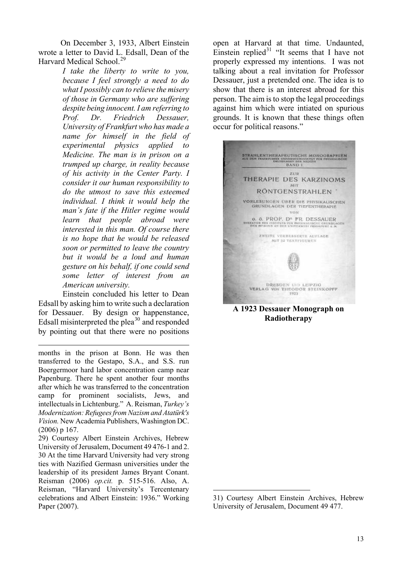On December 3, 1933, Albert Einstein wrote a letter to David L. Edsall, Dean of the Harvard Medical School.<sup>[29](#page-11-0)</sup>

> *I take the liberty to write to you, because I feel strongly a need to do what I possibly can to relieve the misery of those in Germany who are suffering despite being innocent. I am referring to Prof. Dr. Friedrich Dessauer, University of Frankfurt who has made a name for himself in the field of experimental physics applied to Medicine. The man is in prison on a trumped up charge, in reality because of his activity in the Center Party. I consider it our human responsibility to do the utmost to save this esteemed individual. I think it would help the man's fate if the Hitler regime would learn that people abroad were interested in this man. Of course there is no hope that he would be released soon or permitted to leave the country but it would be a loud and human gesture on his behalf, if one could send some letter of interest from an American university.*

 Einstein concluded his letter to Dean Edsall by asking him to write such a declaration for Dessauer. By design or happenstance, Edsall misinterpreted the plea $^{30}$  $^{30}$  $^{30}$  and responded by pointing out that there were no positions

 $\overline{a}$ 

months in the prison at Bonn. He was then transferred to the Gestapo, S.A., and S.S. run Boergermoor hard labor concentration camp near Papenburg. There he spent another four months after which he was transferred to the concentration camp for prominent socialists, Jews, and intellectuals in Lichtenburg." A. Reisman, *Turkey's Modernization: Refugees from Nazism and Atatürk's Vision.* New Academia Publishers, Washington DC. (2006) p 167.

<span id="page-11-2"></span><span id="page-11-1"></span><span id="page-11-0"></span>29) Courtesy Albert Einstein Archives, Hebrew University of Jerusalem, Document 49 476-1 and 2. 30 At the time Harvard University had very strong ties with Nazified Germasn universities under the leadership of its president James Bryant Conant. Reisman (2006) *op.cit.* p. 515-516. Also, A. Reisman, "Harvard University's Tercentenary celebrations and Albert Einstein: 1936." Working Paper (2007).

open at Harvard at that time. Undaunted, Einstein replied $31$  "It seems that I have not properly expressed my intentions. I was not talking about a real invitation for Professor Dessauer, just a pretended one. The idea is to show that there is an interest abroad for this person. The aim is to stop the legal proceedings against him which were intiated on spurious grounds. It is known that these things often occur for political reasons."



**A 1923 Dessauer Monograph on Radiotherapy** 

<sup>31)</sup> Courtesy Albert Einstein Archives, Hebrew University of Jerusalem, Document 49 477.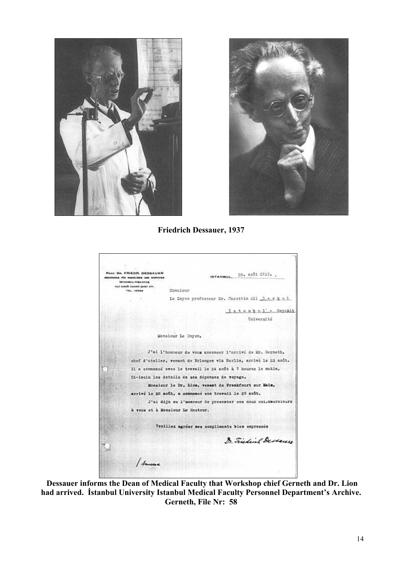



**Friedrich Dessauer, 1937** 

| STANBUL, 29. août 1935.                                           |
|-------------------------------------------------------------------|
| Monaieur                                                          |
| Le Doyen professour Dr. Murattin Ali Berkol                       |
| Istanbul'- Beyakit                                                |
| Université                                                        |
|                                                                   |
| Monsieur Le Doyen,                                                |
| J'ai l'honneur de vous annoncer l'arrivé de Mr. Gerneth,          |
| chef d'atelier, venant de Erlangen via Berlin, arrivé le 25 août. |
| Il a commancé avec le travail le 24 août à 7 houres le matin.     |
| Ci-inclu les details de ses dépenses de voyage.                   |
| Monsieur le Dr. Lion, venant de Frankfourt sur Main,              |
| arrivé le 26 août, a commencé son travail le 29 août.             |
| J'ai déjà eu l'honneur de presenter ces deux collaborateurs       |
| à vous et à Monsieur Le Recteur.                                  |
| Veuillez agréer mes compliments bien empressés                    |
| 8. Fiederich Dessen                                               |
|                                                                   |
|                                                                   |
|                                                                   |
|                                                                   |

 **Dessauer informs the Dean of Medical Faculty that Workshop chief Gerneth and Dr. Lion had arrived. İstanbul University Istanbul Medical Faculty Personnel Department's Archive. Gerneth, File Nr: 58**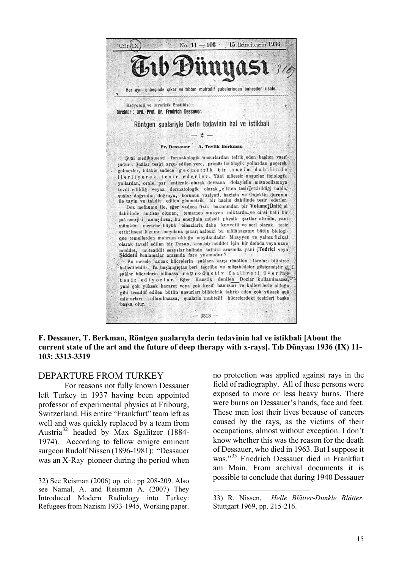

**F. Dessauer, T. Berkman, Röntgen şualarıyla derin tedavinin hal ve istikbali [About the current state of the art and the future of deep therapy with x-rays]. Tıb Dünyası 1936 (IX) 11- 103: 3313-3319** 

 $\overline{a}$ 

## DEPARTURE FROM TURKEY

 For reasons not fully known Dessauer left Turkey in 1937 having been appointed professor of experimental physics at Fribourg, Switzerland. His entire "Frankfurt" team left as well and was quickly replaced by a team from Austria[32](#page-13-0) headed by Max Sgalitzer (1884- 1974). According to fellow emigre eminent surgeon Rudolf Nissen (1896-1981): "Dessauer was an X-Ray pioneer during the period when

 $\overline{a}$ 

no protection was applied against rays in the field of radiography. All of these persons were exposed to more or less heavy burns. There were burns on Dessauer's hands, face and feet. These men lost their lives because of cancers caused by the rays, as the victims of their occupations, almost without exception. I don't know whether this was the reason for the death of Dessauer, who died in 1963. But I suppose it was."<sup>[33](#page-13-1)</sup> Friedrich Dessauer died in Frankfurt am Main. From archival documents it is possible to conclude that during 1940 Dessauer

<span id="page-13-1"></span><span id="page-13-0"></span><sup>32)</sup> See Reisman (2006) op. cit.: pp 208-209. Also see Namal, A. and Reisman A. (2007) They Introduced Modern Radiology into Turkey: Refugees from Nazism 1933-1945, Working paper.

<sup>33)</sup> R. Nissen, *Helle Blätter-Dunkle Blätter*. Stuttgart 1969, pp. 215-216.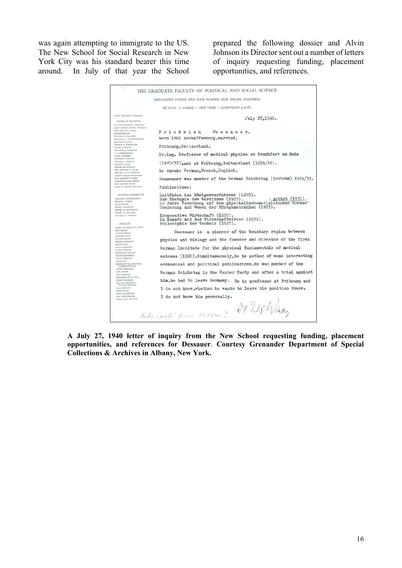was again attempting to immigrate to the US. The New School for Social Research in New York City was his standard bearer this time around. In July of that year the School prepared the following dossier and Alvin Johnson its Director sent out a number of letters of inquiry requesting funding, placement opportunities, and references.

|                                                                                                                               | THE GRADUATE FACULTY OF POLITICAL AND SOCIAL SCIENCE                                                                                                                                                                 |
|-------------------------------------------------------------------------------------------------------------------------------|----------------------------------------------------------------------------------------------------------------------------------------------------------------------------------------------------------------------|
|                                                                                                                               | ORGANIZED UNDER THE NEW SCHOOL FOR SOCIAL RESEARCH                                                                                                                                                                   |
|                                                                                                                               | 66 WEST 12 STREET · NEW YORK · ALGONQUIN 4-2567                                                                                                                                                                      |
| ALVIN JOHNSON, Chairman                                                                                                       | July 27.1940.                                                                                                                                                                                                        |
| <b>BOARD OF TRUSTEES</b><br>EUITACE SELIGMAN, Chairman<br>ELIOT DEMING PRATE, Treaturer                                       |                                                                                                                                                                                                                      |
| MES. PHILIP E. ALLEN<br><b>GEORGE BACKER</b>                                                                                  | Friedrich<br>Dessauer.                                                                                                                                                                                               |
| WILLIAM H. BALDWIN<br>BENJAMIN J. BUTTENWIESER<br><b>JULIE SEINVILLE</b>                                                      | born 1881 Aschaffenburg, married.                                                                                                                                                                                    |
| THOMAS E. PINLETTER<br>HIEAM J. HALLE<br>WALLACE K. HARRISON                                                                  | Fribourg. Switzerland.                                                                                                                                                                                               |
| L. A. HIRSCHMARN<br>ALVIN JOHNSON<br><b>WICTOR W. KNAUTH</b>                                                                  | Dr.ing. Professor of medical physics at Frankfurt am Main                                                                                                                                                            |
| THOMAS 5. LAMONT<br>HISRY R. LUCE<br><b>BYRNES MAC DONALD</b>                                                                 | $(1920/33)$ , and at Fribourg, Switzerland $(1934/40)$ .                                                                                                                                                             |
| MRI. WILLIAM S. PALEY<br>PRANCES T. P. PLIMPTON<br>JOSEPH HALLE SCHAPPNER                                                     | he speaks German, French, English.                                                                                                                                                                                   |
| MEL MARION E. STERN<br>HISSERT BAYARD SWOFE<br>MRS. JOSEPH URBAN                                                              | Deassauer was member of the German Reichstag (Zentrum) 1924/33.                                                                                                                                                      |
| CLARA W. MAYER, Secretary                                                                                                     | Publications:                                                                                                                                                                                                        |
| ADVISORY COMMITTEE<br>CILIALES C. BURLDHGHAM<br>WILBUR L. CROSS<br><b>JOHN DEWEY</b><br>EENEST GRUENING<br>BOBBET M. HUTCHINE | Leitfaden des Röntgenverfahrens (1903).<br>L gebiet (1931).<br>Zur Therapie des Karzinoms (1923).<br>10 Jahre Porschung auf dem physikalisch-medizinischen Grenz-<br>Dosierung und Wesen der Röntgenstrahlen (1923). |
| BOBERT M. MACIVER<br>WILLIAM A. NEILION<br><b>FACULTY</b>                                                                     | Kooperative Wirtschaft (1929).<br>Im Kampfe mit der Wirtschaftskrise (1931).<br>Philosophie der Technik (1927).                                                                                                      |
| FRIEDA WUNDERLICH, Dean<br><b>LIOSIA XAM</b><br>AENOLD BRECHT<br>GERHARD COLM                                                 | Dessauer is a pioneer of the boundary region between                                                                                                                                                                 |
| ARTHUK FELLER<br>BISTARD HEIMANN<br><b>ISICH HULA</b>                                                                         | physics and biology and the founder and director of the first                                                                                                                                                        |
| ALVIN JOIKHSON<br>ALPRED KÄNLER<br><b>HORACE M. RALLEN</b>                                                                    | German Institute for the physical fundamentals of medical                                                                                                                                                            |
| FELIX KAUFMANN<br>PRITZ LEHMANN<br><b>NINO LEVE</b>                                                                           | science (1920). Simultaneously. he is author of some interesting                                                                                                                                                     |
| BRONISLAW MALINOWSKI,<br>Visiting Professor<br>JAKOB MARICHAK                                                                 | economical and political publications. He was member of the                                                                                                                                                          |
| CARL MAYER<br>KURT BIBZLER<br>FERNANDO de los RIOS                                                                            | German Reichstag in the Center Party and after a trial against                                                                                                                                                       |
| ALBERT BALOMON<br>EICHARD SCHÜLLER,<br>Visiting Professor<br>HANS SIMONS                                                      | him, he had to leave Germany. He is professor at Fribourg and                                                                                                                                                        |
| HANS SPECIE<br>READS STAUDINGER                                                                                               | I do not know.whether he wants to leave his position there.                                                                                                                                                          |
| MAX WERTHEIMER<br>ERNIT KARL WINTER                                                                                           | I do not know him personally.<br>Dr. 9. 4. Wiexy<br>who could give recount                                                                                                                                           |

**A July 27, 1940 letter of inquiry from the New School requesting funding, placement opportunities, and references for Dessauer**. **Courtesy Grenander Department of Special Collections & Archives in Albany, New York.**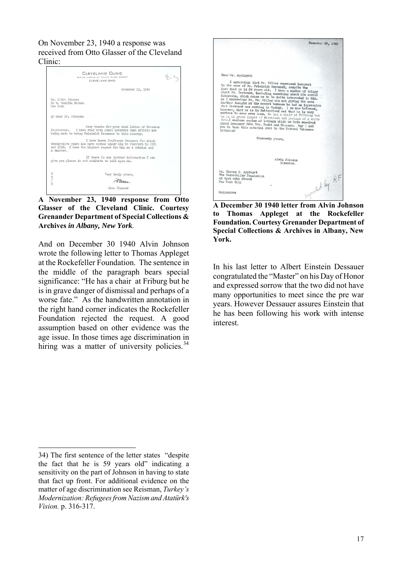On November 23, 1940 a response was received from Otto Glasser of the Cleveland Clinic:



**A November 23, 1940 response from Otto Glasser of the Cleveland Clinic. Courtesy Grenander Department of Special Collections & Archives** *in Albany, New York.*

And on December 30 1940 Alvin Johnson wrote the following letter to Thomas Appleget at the Rockefeller Foundation. The sentence in the middle of the paragraph bears special significance: "He has a chair at Friburg but he is in grave danger of dismissal and perhaps of a worse fate." As the handwritten annotation in the right hand corner indicates the Rockefeller Foundation rejected the request. A good assumption based on other evidence was the age issue. In those times age discrimination in hiring was a matter of university policies. $34$ 



**A December 30 1940 letter from Alvin Johnson to Thomas Appleget at the Rockefeller Foundation. Courtesy Grenander Department of Special Collections & Archives in Albany, New York.** 

In his last letter to Albert Einstein Dessauer congratulated the "Master" on his Day of Honor and expressed sorrow that the two did not have many opportunities to meet since the pre war years. However Dessauer assures Einstein that he has been following his work with intense interest.

<span id="page-15-0"></span><sup>34)</sup> The first sentence of the letter states "despite the fact that he is 59 years old" indicating a sensitivity on the part of Johnson in having to state that fact up front. For additional evidence on the matter of age discrimination see Reisman, *Turkey's Modernization: Refugees from Nazism and Atatürk's Vision.* p. 316-317.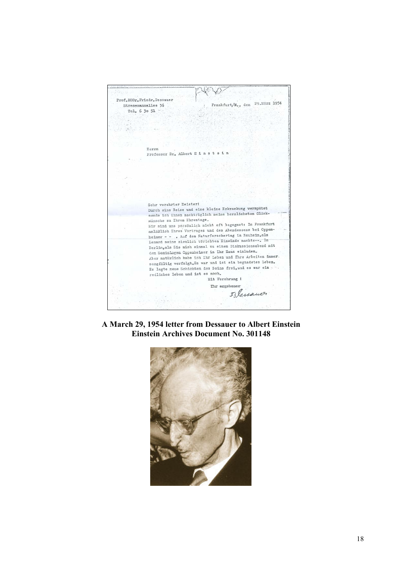$\langle \langle \rangle$ Prof.DDDr.Friedr.Dessauer Frankfurt/M., den 29. März 1954 Stresemannallee 36 Tel. 6 30 51 .. Herrn Professor Dr. Albert E i n s t e i n Sehr verehrter Meisterl Sehr verenrter keister:<br>Durch eine Reise und eine kleine Erkrankung verspätet burch eine Reise und eine Aleine Biaranaung vergarte wünsche zu Ihrem Ehrentage. Winsche zu intem Entendet. anlästich Ihres Vortrages und des Abendessens bei Oppenanläälich Ihres Vortrages und des Adendessens der Oppenheimer - - . Auf dem Naturforschertag in Nauheim, als<br>Lenard seine ziemlich törichten Einwände machte-- . In<br>Lenard seine ziemlich törichten Diebeschenschand Denard seine zieminen torichten zumande machte.<br>Berlin, als Sie mich einmal zu einem Diskussionsabend mit<br>dem Soziologen Oppenheimer in Ihr Haus einluden. Aber natürlich habe ich Ihr Leben und Ihre Arbeiten immer. sorgiältig verfolgt.Es war und ist ein begnadetes Leben. Es legte neue Schichten des Seins frei, und es war ein redliches Leben und ist es noch. Mit Verehrung ! Thr ergebener Filemanor

**A March 29, 1954 letter from Dessauer to Albert Einstein Einstein Archives Document No. 301148** 

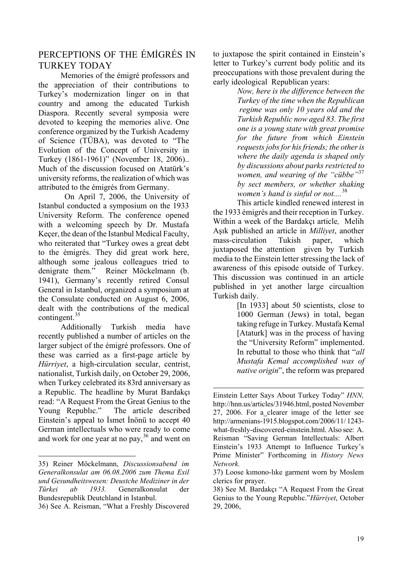# PERCEPTIONS OF THE ÉMİGRÉS IN TURKEY TODAY

 Memories of the émigré professors and the appreciation of their contributions to Turkey's modernization linger on in that country and among the educated Turkish Diaspora. Recently several symposia were devoted to keeping the memories alive. One conference organized by the Turkish Academy of Science (TÜBA), was devoted to "The Evolution of the Concept of University in Turkey (1861-1961)" (November 18, 2006).. Much of the discussion focused on Atatürk's university reforms, the realization of which was attributed to the émigrés from Germany.

 On April 7, 2006, the University of Istanbul conducted a symposium on the 1933 University Reform. The conference opened with a welcoming speech by Dr. Mustafa Keçer, the dean of the Istanbul Medical Faculty, who reiterated that "Turkey owes a great debt to the émigrés. They did great work here, although some jealous colleagues tried to denigrate them." Reiner Möckelmann (b. 1941), Germany's recently retired Consul General in Istanbul, organized a symposium at the Consulate conducted on August 6, 2006, dealt with the contributions of the medical contingent.<sup>[35](#page-17-0)</sup>

 Additionally Turkish media have recently published a number of articles on the larger subject of the émigré professors. One of these was carried as a first-page article by *Hürriyet*, a high-circulation secular, centrist, nationalist, Turkish daily, on October 29, 2006, when Turkey celebrated its 83rd anniversary as a Republic. The headline by Murat Bardakçı read: "A Request From the Great Genius to the Young Republıc." The article described Einstein's appeal to İsmet İnönü to accept 40 German intellectuals who were ready to come and work for one year at no pay,  $36$  and went on

 $\overline{a}$ 

to juxtapose the spirit contained in Einstein's letter to Turkey's current body politic and its preoccupations with those prevalent during the early ideological Republican years:

> *Now, here is the difference between the Turkey of the time when the Republican regime was only 10 years old and the Turkish Republic now aged 83. The first one is a young state with great promise for the future from which Einstein requests jobs for his friends; the other is where the daily agenda is shaped only by discussions about parks restricted to women, and wearing of the "cübbe"*[37](#page-17-2) *by sect members, or whether shaking women's hand is sinful or not....*[38](#page-17-3)

This article kindled renewed interest in the 1933 émigrés and their reception in Turkey. Within a week of the Bardakçı article*,* Melih Aşık published an article in *Milliyet*, another mass-circulation Tukish paper, which juxtaposed the attention given by Turkish media to the Einstein letter stressing the lack of awareness of this episode outside of Turkey. This discussion was continued in an article published in yet another large circualtion Turkish daily.

[In 1933] about 50 scientists, close to 1000 German (Jews) in total, began taking refuge in Turkey. Mustafa Kemal [Ataturk] was in the process of having the "University Reform" implemented. In rebuttal to those who think that "*all Mustafa Kemal accomplished was of native origin*", the reform was prepared

<span id="page-17-2"></span><span id="page-17-0"></span><sup>35)</sup> Reiner Möckelmann, *Discussionsabend im Generalkonsulat am 06.08.2006 zum Thema Exil und Gesundheitswesen: Deustche Mediziner in der Türkei ab 1933.* Generalkonsulat der Bundesrepublik Deutchland in Istanbul.

<span id="page-17-3"></span><span id="page-17-1"></span><sup>36)</sup> See A. Reisman, "What a Freshly Discovered

Einstein Letter Says About Turkey Today" *HNN,* [http://hnn.us/articles/31946.html,](http://hnn.us/articles/31946.html) posted November 27, 2006. For a clearer image of the letter see http://armenians-1915.blogspot.com/2006/11/ 1243 what-freshly-discovered-einstein.html. Also see: A. Reisman "Saving German Intellectuals: Albert Einstein's 1933 Attempt to Influence Turkey's Prime Minister" Forthcoming in *History News Network.*

<sup>37)</sup> Loose kımono-lıke garment worn by Moslem clerics for prayer.

<sup>38)</sup> See M. Bardakçı "A Request From the Great Genius to the Young Republıc."*Hürriyet*, October 29, 2006,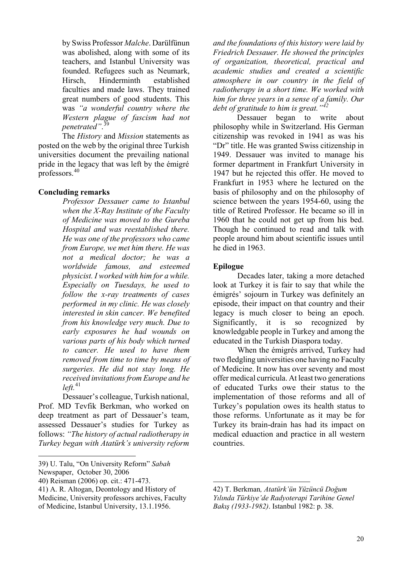by Swiss Professor *Malche*. Darülfünun was abolished, along with some of its teachers, and Istanbul University was founded. Refugees such as Neumark, Hirsch, Hinderminth established faculties and made laws. They trained great numbers of good students. This was *"a wonderful country where the Western plague of fascism had not penetrated"*. [39](#page-18-0)

The *History* and *Mission* statements as posted on the web by the original three Turkish universities document the prevailing national pride in the legacy that was left by the émigré professors.[40](#page-18-1)

#### **Concluding remarks**

*Professor Dessauer came to Istanbul when the X-Ray Institute of the Faculty of Medicine was moved to the Gureba Hospital and was reestablished there. He was one of the professors who came from Europe, we met him there. He was not a medical doctor; he was a worldwide famous, and esteemed physicist. I worked with him for a while. Especially on Tuesdays, he used to follow the x-ray treatments of cases performed in my clinic. He was closely interested in skin cancer. We benefited from his knowledge very much. Due to early exposures he had wounds on various parts of his body which turned to cancer. He used to have them removed from time to time by means of surgeries. He did not stay long. He received invitations from Europe and he*   $left<sub>1</sub><sup>41</sup>$  $left<sub>1</sub><sup>41</sup>$  $left<sub>1</sub><sup>41</sup>$ 

Dessauer's colleague, Turkish national, Prof. MD Tevfik Berkman, who worked on deep treatment as part of Dessauer's team, assessed Dessauer's studies for Turkey as follows: *"The history of actual radiotherapy in Turkey began with Atatürk's university reform* 

 $\overline{a}$ 

*and the foundations of this history were laid by Friedrich Dessauer. He showed the principles of organization, theoretical, practical and academic studies and created a scientific atmosphere in our country in the field of radiotherapy in a short time. We worked with him for three years in a sense of a family. Our debt of gratitude to him is great."[42](#page-18-2)*

 Dessauer began to write about philosophy while in Switzerland. His German citizenship was revoked in 1941 as was his "Dr" title. He was granted Swiss citizenship in 1949. Dessauer was invited to manage his former department in Frankfurt University in 1947 but he rejected this offer. He moved to Frankfurt in 1953 where he lectured on the basis of philosophy and on the philosophy of science between the years 1954-60, using the title of Retired Professor. He became so ill in 1960 that he could not get up from his bed. Though he continued to read and talk with people around him about scientific issues until he died in 1963.

#### **Epilogue**

 $\overline{a}$ 

Decades later, taking a more detached look at Turkey it is fair to say that while the émigrés' sojourn in Turkey was definitely an episode, their impact on that country and their legacy is much closer to being an epoch. Significantly, it is so recognized by knowledgable people in Turkey and among the educated in the Turkish Diaspora today.

When the émigrés arrived, Turkey had two fledgling universities one having no Faculty of Medicine. It now has over seventy and most offer medical curricula. At least two generations of educated Turks owe their status to the implementation of those reforms and all of Turkey's population owes its health status to those reforms. Unfortunate as it may be for Turkey its brain-drain has had its impact on medical eduaction and practice in all western countries.

<span id="page-18-0"></span><sup>39)</sup> U. Talu, "On University Reform" *Sabah*

Newspaper, October 30, 2006

<span id="page-18-1"></span><sup>40)</sup> Reisman (2006) op. cit.: 471-473.

<span id="page-18-2"></span><sup>41)</sup> A. R. Altogan, Deontology and History of Medicine, University professors archives, Faculty of Medicine, Istanbul University, 13.1.1956.

<sup>42)</sup> T. Berkman*, Atatürk'ün Yüzüncü Doğum Yılında Türkiye'de Radyoterapi Tarihine Genel Bakış (1933-1982)*. Istanbul 1982: p. 38.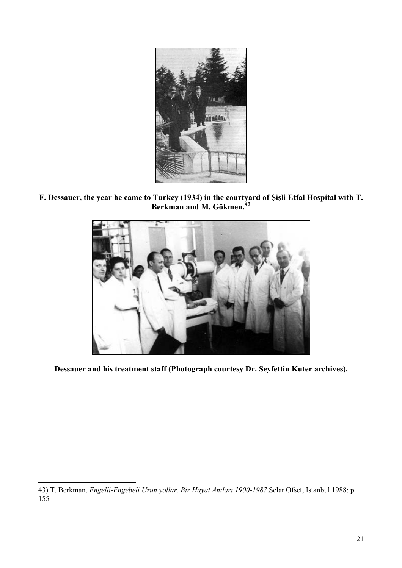

**F. Dessauer, the year he came to Turkey (1934) in the courtyard of Şişli Etfal Hospital with T. Berkman and M. Gökmen.[43](#page-19-0)**



**Dessauer and his treatment staff (Photograph courtesy Dr. Seyfettin Kuter archives).** 

<span id="page-19-0"></span><sup>43)</sup> T. Berkman, *Engelli-Engebeli Uzun yollar. Bir Hayat Anıları 1900-1987*.Selar Ofset, Istanbul 1988: p. 155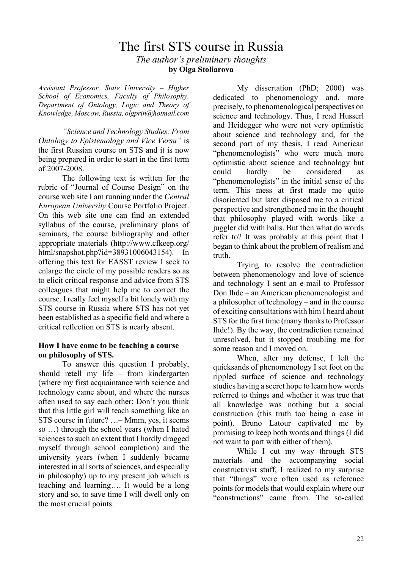# The first STS course in Russia *The author's preliminary thoughts*  **by Olga Stoliarova**

*Assistant Professor, State University – Higher School of Economics, Faculty of Philosophy, Department of Ontology, Logic and Theory of Knowledge, Moscow, Russia, olgprin@hotmail.com* 

*"Science and Technology Studies: From Ontology to Epistemology and Vice Versa"* is the first Russian course on STS and it is now being prepared in order to start in the first term of 2007-2008.

The following text is written for the rubric of "Journal of Course Design" on the course web site I am running under the *Central European University* Course Portfolio Project. On this web site one can find an extended syllabus of the course, preliminary plans of seminars, the course bibliography and other appropriate materials (http://www.cfkeep.org/ html/snapshot.php?id=38931006043154). In offering this text for EASST review I seek to enlarge the circle of my possible readers so as to elicit critical response and advice from STS colleagues that might help me to correct the course. I really feel myself a bit lonely with my STS course in Russia where STS has not yet been established as a specific field and where a critical reflection on STS is nearly absent.

#### **How I have come to be teaching a course on philosophy of STS.**

To answer this question I probably, should retell my life – from kindergarten (where my first acquaintance with science and technology came about, and where the nurses often used to say each other: Don't you think that this little girl will teach something like an STS course in future? …– Mmm, yes, it seems so …) through the school years (when I hated sciences to such an extent that I hardly dragged myself through school completion) and the university years (when I suddenly became interested in all sorts of sciences, and especially in philosophy) up to my present job which is teaching and learning…. It would be a long story and so, to save time I will dwell only on the most crucial points.

My dissertation (PhD; 2000) was dedicated to phenomenology and, more precisely, to phenomenological perspectives on science and technology. Thus, I read Husserl and Heidegger who were not very optimistic about science and technology and, for the second part of my thesis, I read American "phenomenologists" who were much more optimistic about science and technology but could hardly be considered as "phenomenologists" in the initial sense of the term. This mess at first made me quite disoriented but later disposed me to a critical perspective and strengthened me in the thought that philosophy played with words like a juggler did with balls. But then what do words refer to? It was probably at this point that I began to think about the problem of realism and truth.

Trying to resolve the contradiction between phenomenology and love of science and technology I sent an e-mail to Professor Don Ihde – an American phenomenologist and a philosopher of technology – and in the course of exciting consultations with him I heard about STS for the first time (many thanks to Professor Ihde!). By the way, the contradiction remained unresolved, but it stopped troubling me for some reason and I moved on.

When, after my defense, I left the quicksands of phenomenology I set foot on the rippled surface of science and technology studies having a secret hope to learn how words referred to things and whether it was true that all knowledge was nothing but a social construction (this truth too being a case in point). Bruno Latour captivated me by promising to keep both words and things (I did not want to part with either of them).

While I cut my way through STS materials and the accompanying social constructivist stuff, I realized to my surprise that "things" were often used as reference points for models that would explain where our "constructions" came from. The so-called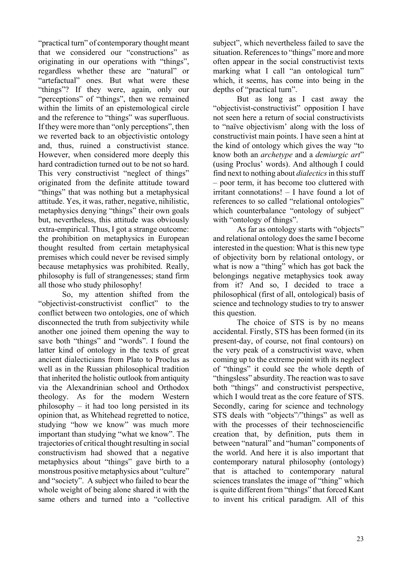"practical turn" of contemporary thought meant that we considered our "constructions" as originating in our operations with "things", regardless whether these are "natural" or "artefactual" ones. But what were these "things"? If they were, again, only our "perceptions" of "things", then we remained within the limits of an epistemological circle and the reference to "things" was superfluous. If they were more than "only perceptions", then we reverted back to an objectivistic ontology and, thus, ruined a constructivist stance. However, when considered more deeply this hard contradiction turned out to be not so hard. This very constructivist "neglect of things" originated from the definite attitude toward "things" that was nothing but a metaphysical attitude. Yes, it was, rather, negative, nihilistic, metaphysics denying "things" their own goals but, nevertheless, this attitude was obviously extra-empirical. Thus, I got a strange outcome: the prohibition on metaphysics in European thought resulted from certain metaphysical premises which could never be revised simply because metaphysics was prohibited. Really, philosophy is full of strangenesses; stand firm all those who study philosophy!

So, my attention shifted from the "objectivist-constructivist conflict" to the conflict between two ontologies, one of which disconnected the truth from subjectivity while another one joined them opening the way to save both "things" and "words". I found the latter kind of ontology in the texts of great ancient dialecticians from Plato to Proclus as well as in the Russian philosophical tradition that inherited the holistic outlook from antiquity via the Alexandrinian school and Orthodox theology. As for the modern Western philosophy – it had too long persisted in its opinion that, as Whitehead regretted to notice, studying "how we know" was much more important than studying "what we know". The trajectories of critical thought resulting in social constructivism had showed that a negative metaphysics about "things" gave birth to a monstrous positive metaphysics about "culture" and "society". A subject who failed to bear the whole weight of being alone shared it with the same others and turned into a "collective

subject", which nevertheless failed to save the situation. References to "things" more and more often appear in the social constructivist texts marking what I call "an ontological turn" which, it seems, has come into being in the depths of "practical turn".

But as long as I cast away the "objectivist-constructivist" opposition I have not seen here a return of social constructivists to "naïve objectivism' along with the loss of constructivist main points. I have seen a hint at the kind of ontology which gives the way "to know both an *archetype* and a *demiurgic art*" (using Proclus' words). And although I could find next to nothing about *dialectics* in this stuff – poor term, it has become too cluttered with irritant connotations! – I have found a lot of references to so called "relational ontologies" which counterbalance "ontology of subject" with "ontology of things".

As far as ontology starts with "objects" and relational ontology does the same I become interested in the question: What is this new type of objectivity born by relational ontology, or what is now a "thing" which has got back the belongings negative metaphysics took away from it? And so, I decided to trace a philosophical (first of all, ontological) basis of science and technology studies to try to answer this question.

The choice of STS is by no means accidental. Firstly, STS has been formed (in its present-day, of course, not final contours) on the very peak of a constructivist wave, when coming up to the extreme point with its neglect of "things" it could see the whole depth of "thingsless" absurdity. The reaction was to save both "things" and constructivist perspective, which I would treat as the core feature of STS. Secondly, caring for science and technology STS deals with "objects"/"things" as well as with the processes of their technosciencific creation that, by definition, puts them in between "natural" and "human" components of the world. And here it is also important that contemporary natural philosophy (ontology) that is attached to contemporary natural sciences translates the image of "thing" which is quite different from "things" that forced Kant to invent his critical paradigm. All of this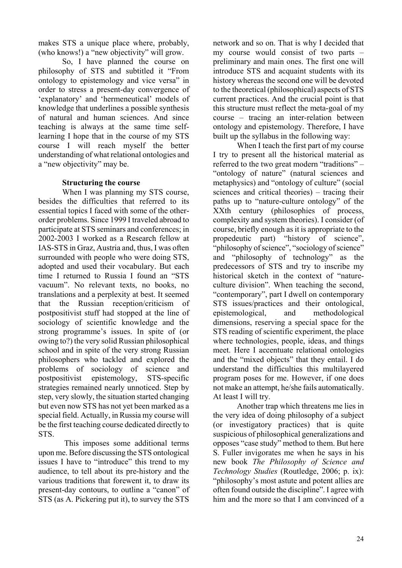makes STS a unique place where, probably, (who knows!) a "new objectivity" will grow.

So, I have planned the course on philosophy of STS and subtitled it "From ontology to epistemology and vice versa" in order to stress a present-day convergence of 'explanatory' and 'hermeneutical' models of knowledge that underlines a possible synthesis of natural and human sciences. And since teaching is always at the same time selflearning I hope that in the course of my STS course I will reach myself the better understanding of what relational ontologies and a "new objectivity" may be.

#### **Structuring the course**

When I was planning my STS course, besides the difficulties that referred to its essential topics I faced with some of the otherorder problems. Since 1999 I traveled abroad to participate at STS seminars and conferences; in 2002-2003 I worked as a Research fellow at IAS-STS in Graz, Austria and, thus, I was often surrounded with people who were doing STS, adopted and used their vocabulary. But each time I returned to Russia I found an "STS vacuum". No relevant texts, no books, no translations and a perplexity at best. It seemed that the Russian reception/criticism of postpositivist stuff had stopped at the line of sociology of scientific knowledge and the strong programme's issues. In spite of (or owing to?) the very solid Russian philosophical school and in spite of the very strong Russian philosophers who tackled and explored the problems of sociology of science and postpositivist epistemology, STS-specific strategies remained nearly unnoticed. Step by step, very slowly, the situation started changing but even now STS has not yet been marked as a special field. Actually, in Russia my course will be the first teaching course dedicated directly to STS.

 This imposes some additional terms upon me. Before discussing the STS ontological issues I have to "introduce" this trend to my audience, to tell about its pre-history and the various traditions that forewent it, to draw its present-day contours, to outline a "canon" of STS (as A. Pickering put it), to survey the STS

network and so on. That is why I decided that my course would consist of two parts – preliminary and main ones. The first one will introduce STS and acquaint students with its history whereas the second one will be devoted to the theoretical (philosophical) aspects of STS current practices. And the crucial point is that this structure must reflect the meta-goal of my course – tracing an inter-relation between ontology and epistemology. Therefore, I have built up the syllabus in the following way:

When I teach the first part of my course I try to present all the historical material as referred to the two great modern "traditions" – "ontology of nature" (natural sciences and metaphysics) and "ontology of culture" (social sciences and critical theories) – tracing their paths up to "nature-culture ontology" of the XXth century (philosophies of process, complexity and system theories). I consider (of course, briefly enough as it is appropriate to the propedeutic part) "history of science", "philosophy of science", "sociology of science" and "philosophy of technology" as the predecessors of STS and try to inscribe my historical sketch in the context of "natureculture division". When teaching the second, "contemporary", part I dwell on contemporary STS issues/practices and their ontological, epistemological, and methodological dimensions, reserving a special space for the STS reading of scientific experiment, the place where technologies, people, ideas, and things meet. Here I accentuate relational ontologies and the "mixed objects" that they entail. I do understand the difficulties this multilayered program poses for me. However, if one does not make an attempt, he/she fails automatically. At least I will try.

Another trap which threatens me lies in the very idea of doing philosophy of a subject (or investigatory practices) that is quite suspicious of philosophical generalizations and opposes "case study" method to them. But here S. Fuller invigorates me when he says in his new book *The Philosophy of Science and Technology Studies* (Routledge, 2006; p. ix): "philosophy's most astute and potent allies are often found outside the discipline". I agree with him and the more so that I am convinced of a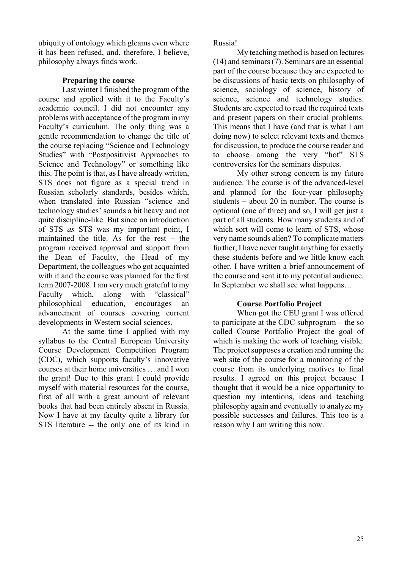ubiquity of ontology which gleams even where it has been refused, and, therefore, I believe, philosophy always finds work.

#### **Preparing the course**

Last winter I finished the program of the course and applied with it to the Faculty's academic council. I did not encounter any problems with acceptance of the program in my Faculty's curriculum. The only thing was a gentle recommendation to change the title of the course replacing "Science and Technology Studies" with "Postpositivist Approaches to Science and Technology" or something like this. The point is that, as I have already written, STS does not figure as a special trend in Russian scholarly standards, besides which, when translated into Russian "science and technology studies' sounds a bit heavy and not quite discipline-like. But since an introduction of STS *as* STS was my important point, I maintained the title. As for the rest – the program received approval and support from the Dean of Faculty, the Head of my Department, the colleagues who got acquainted with it and the course was planned for the first term 2007-2008. I am very much grateful to my Faculty which, along with "classical" philosophical education, encourages an advancement of courses covering current developments in Western social sciences.

At the same time I applied with my syllabus to the Central European University Course Development Competition Program (CDC), which supports faculty's innovative courses at their home universities … and I won the grant! Due to this grant I could provide myself with material resources for the course, first of all with a great amount of relevant books that had been entirely absent in Russia. Now I have at my faculty quite a library for STS literature -- the only one of its kind in

Russia!

My teaching method is based on lectures (14) and seminars (7). Seminars are an essential part of the course because they are expected to be discussions of basic texts on philosophy of science, sociology of science, history of science, science and technology studies. Students are expected to read the required texts and present papers on their crucial problems. This means that I have (and that is what I am doing now) to select relevant texts and themes for discussion, to produce the course reader and to choose among the very "hot" STS controversies for the seminars disputes.

My other strong concern is my future audience. The course is of the advanced-level and planned for the four-year philosophy students – about 20 in number. The course is optional (one of three) and so, I will get just a part of all students. How many students and of which sort will come to learn of STS, whose very name sounds alien? To complicate matters further, I have never taught anything for exactly these students before and we little know each other. I have written a brief announcement of the course and sent it to my potential audience. In September we shall see what happens…

#### **Course Portfolio Project**

When got the CEU grant I was offered to participate at the CDC subprogram – the so called Course Portfolio Project the goal of which is making the work of teaching visible. The project supposes a creation and running the web site of the course for a monitoring of the course from its underlying motives to final results. I agreed on this project because I thought that it would be a nice opportunity to question my intentions, ideas and teaching philosophy again and eventually to analyze my possible successes and failures. This too is a reason why I am writing this now.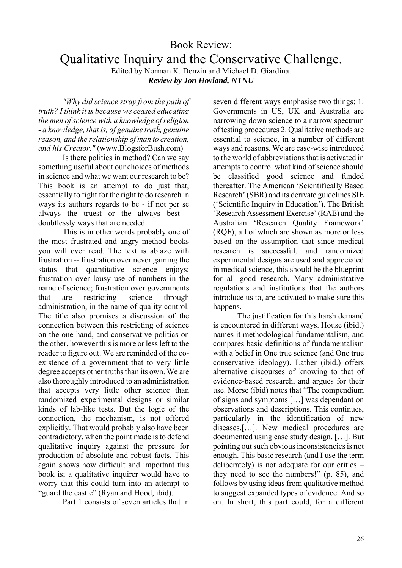# Book Review:

Qualitative Inquiry and the Conservative Challenge.

Edited by Norman K. Denzin and Michael D. Giardina. *Review by Jon Hovland, NTNU* 

*"Why did science stray from the path of truth? I think it is because we ceased educating the men of science with a knowledge of religion - a knowledge, that is, of genuine truth, genuine reason, and the relationship of man to creation, and his Creator."* (www.BlogsforBush.com)

Is there politics in method? Can we say something useful about our choices of methods in science and what we want our research to be? This book is an attempt to do just that, essentially to fight for the right to do research in ways its authors regards to be - if not per se always the truest or the always best doubtlessly ways that are needed.

This is in other words probably one of the most frustrated and angry method books you will ever read. The text is ablaze with frustration -- frustration over never gaining the status that quantitative science enjoys; frustration over lousy use of numbers in the name of science; frustration over governments that are restricting science through administration, in the name of quality control. The title also promises a discussion of the connection between this restricting of science on the one hand, and conservative politics on the other, however this is more or less left to the reader to figure out. We are reminded of the coexistence of a government that to very little degree accepts other truths than its own. We are also thoroughly introduced to an administration that accepts very little other science than randomized experimental designs or similar kinds of lab-like tests. But the logic of the connection, the mechanism, is not offered explicitly. That would probably also have been contradictory, when the point made is to defend qualitative inquiry against the pressure for production of absolute and robust facts. This again shows how difficult and important this book is; a qualitative inquirer would have to worry that this could turn into an attempt to "guard the castle" (Ryan and Hood, ibid).

Part 1 consists of seven articles that in

seven different ways emphasise two things: 1. Governments in US, UK and Australia are narrowing down science to a narrow spectrum of testing procedures 2. Qualitative methods are essential to science, in a number of different ways and reasons. We are case-wise introduced to the world of abbreviations that is activated in attempts to control what kind of science should be classified good science and funded thereafter. The American 'Scientifically Based Research' (SBR) and its derivate guidelines SIE ('Scientific Inquiry in Education'), The British 'Research Assessment Exercise' (RAE) and the Australian 'Research Quality Framework' (RQF), all of which are shown as more or less based on the assumption that since medical research is successful, and randomized experimental designs are used and appreciated in medical science, this should be the blueprint for all good research. Many administrative regulations and institutions that the authors introduce us to, are activated to make sure this happens.

The justification for this harsh demand is encountered in different ways. House (ibid.) names it methodological fundamentalism, and compares basic definitions of fundamentalism with a belief in One true science (and One true conservative ideology). Lather (ibid.) offers alternative discourses of knowing to that of evidence-based research, and argues for their use. Morse (ibid) notes that "The compendium of signs and symptoms […] was dependant on observations and descriptions. This continues, particularly in the identification of new diseases,[…]. New medical procedures are documented using case study design, […]. But pointing out such obvious inconsistencies is not enough. This basic research (and I use the term deliberately) is not adequate for our critics – they need to see the numbers!" (p. 85), and follows by using ideas from qualitative method to suggest expanded types of evidence. And so on. In short, this part could, for a different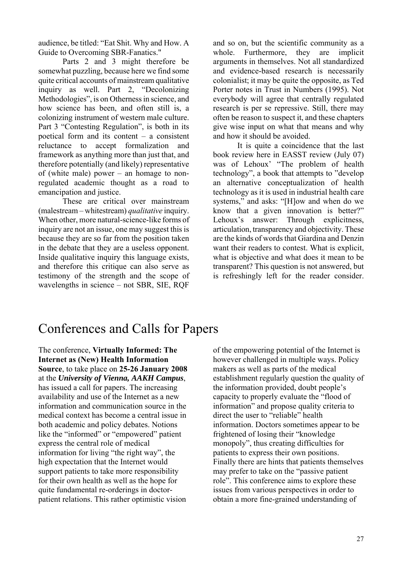audience, be titled: "Eat Shit. Why and How. A Guide to Overcoming SBR-Fanatics."

Parts 2 and 3 might therefore be somewhat puzzling, because here we find some quite critical accounts of mainstream qualitative inquiry as well. Part 2, "Decolonizing Methodologies", is on Otherness in science, and how science has been, and often still is, a colonizing instrument of western male culture. Part 3 "Contesting Regulation", is both in its poetical form and its content – a consistent reluctance to accept formalization and framework as anything more than just that, and therefore potentially (and likely) representative of (white male) power – an homage to nonregulated academic thought as a road to emancipation and justice.

These are critical over mainstream (malestream – whitestream) *qualitative* inquiry. When other, more natural-science-like forms of inquiry are not an issue, one may suggest this is because they are so far from the position taken in the debate that they are a useless opponent. Inside qualitative inquiry this language exists, and therefore this critique can also serve as testimony of the strength and the scope of wavelengths in science – not SBR, SIE, RQF

and so on, but the scientific community as a whole. Furthermore, they are implicit arguments in themselves. Not all standardized and evidence-based research is necessarily colonialist; it may be quite the opposite, as Ted Porter notes in Trust in Numbers (1995). Not everybody will agree that centrally regulated research is per se repressive. Still, there may often be reason to suspect it, and these chapters give wise input on what that means and why and how it should be avoided.

It is quite a coincidence that the last book review here in EASST review (July 07) was of Lehoux' "The problem of health technology", a book that attempts to "develop an alternative conceptualization of health technology as it is used in industrial health care systems," and asks: "[H]ow and when do we know that a given innovation is better?" Lehoux's answer: Through explicitness, articulation, transparency and objectivity. These are the kinds of words that Giardina and Denzin want their readers to contest. What is explicit. what is objective and what does it mean to be transparent? This question is not answered, but is refreshingly left for the reader consider.

# Conferences and Calls for Papers

The conference, **Virtually Informed: The Internet as (New) Health Information Source**, to take place on **25-26 January 2008** at the *University of Vienna, AAKH Campus*, has issued a call for papers. The increasing availability and use of the Internet as a new information and communication source in the medical context has become a central issue in both academic and policy debates. Notions like the "informed" or "empowered" patient express the central role of medical information for living "the right way", the high expectation that the Internet would support patients to take more responsibility for their own health as well as the hope for quite fundamental re-orderings in doctorpatient relations. This rather optimistic vision

of the empowering potential of the Internet is however challenged in multiple ways. Policy makers as well as parts of the medical establishment regularly question the quality of the information provided, doubt people's capacity to properly evaluate the "flood of information" and propose quality criteria to direct the user to "reliable" health information. Doctors sometimes appear to be frightened of losing their "knowledge monopoly", thus creating difficulties for patients to express their own positions. Finally there are hints that patients themselves may prefer to take on the "passive patient role". This conference aims to explore these issues from various perspectives in order to obtain a more fine-grained understanding of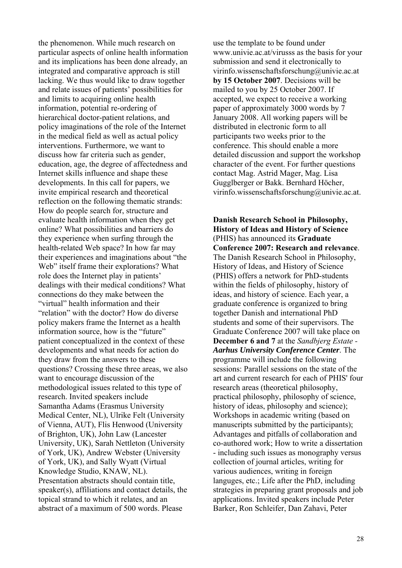the phenomenon. While much research on particular aspects of online health information and its implications has been done already, an integrated and comparative approach is still lacking. We thus would like to draw together and relate issues of patients' possibilities for and limits to acquiring online health information, potential re-ordering of hierarchical doctor-patient relations, and policy imaginations of the role of the Internet in the medical field as well as actual policy interventions. Furthermore, we want to discuss how far criteria such as gender, education, age, the degree of affectedness and Internet skills influence and shape these developments. In this call for papers, we invite empirical research and theoretical reflection on the following thematic strands: How do people search for, structure and evaluate health information when they get online? What possibilities and barriers do they experience when surfing through the health-related Web space? In how far may their experiences and imaginations about "the Web" itself frame their explorations? What role does the Internet play in patients' dealings with their medical conditions? What connections do they make between the "virtual" health information and their "relation" with the doctor? How do diverse policy makers frame the Internet as a health information source, how is the "future" patient conceptualized in the context of these developments and what needs for action do they draw from the answers to these questions? Crossing these three areas, we also want to encourage discussion of the methodological issues related to this type of research. Invited speakers include Samantha Adams (Erasmus University Medical Center, NL), Ulrike Felt (University of Vienna, AUT), Flis Henwood (University of Brighton, UK), John Law (Lancester University, UK), Sarah Nettleton (University of York, UK), Andrew Webster (University of York, UK), and Sally Wyatt (Virtual Knowledge Studio, KNAW, NL). Presentation abstracts should contain title, speaker(s), affiliations and contact details, the topical strand to which it relates, and an abstract of a maximum of 500 words. Please

use the template to be found under www.univie.ac.at/virusss as the basis for your submission and send it electronically to virinfo.wissenschaftsforschung@univie.ac.at **by 15 October 2007**. Decisions will be mailed to you by 25 October 2007. If accepted, we expect to receive a working paper of approximately 3000 words by 7 January 2008. All working papers will be distributed in electronic form to all participants two weeks prior to the conference. This should enable a more detailed discussion and support the workshop character of the event. For further questions contact Mag. Astrid Mager, Mag. Lisa Gugglberger or Bakk. Bernhard Höcher, virinfo.wissenschaftsforschung@univie.ac.at.

**Danish Research School in Philosophy, History of Ideas and History of Science** (PHIS) has announced its **Graduate Conference 2007: Research and relevance**. The Danish Research School in Philosophy, History of Ideas, and History of Science (PHIS) offers a network for PhD-students within the fields of philosophy, history of ideas, and history of science. Each year, a graduate conference is organized to bring together Danish and international PhD students and some of their supervisors. The Graduate Conference 2007 will take place on **December 6 and 7** at the *Sandbjerg Estate - Aarhus University Conference Center*. The programme will include the following sessions: Parallel sessions on the state of the art and current research for each of PHIS' four research areas (theoretical philosophy, practical philosophy, philosophy of science, history of ideas, philosophy and science); Workshops in academic writing (based on manuscripts submitted by the participants); Advantages and pitfalls of collaboration and co-authored work; How to write a dissertation - including such issues as monography versus collection of journal articles, writing for various audiences, writing in foreign languges, etc.; Life after the PhD, including strategies in preparing grant proposals and job applications. Invited speakers include Peter Barker, Ron Schleifer, Dan Zahavi, Peter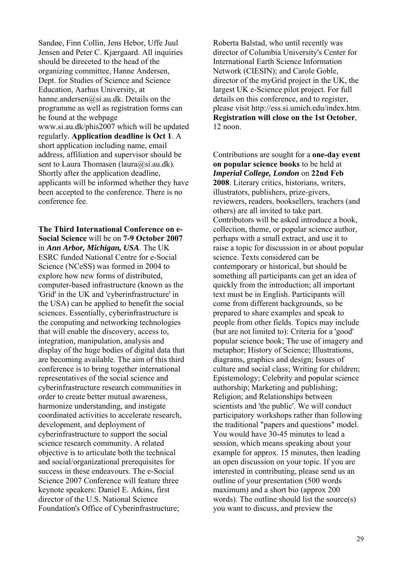Sandøe, Finn Collin, Jens Hebor, Uffe Juul Jensen and Peter C. Kjærgaard. All inquiries should be direceted to the head of the organizing committee, Hanne Andersen, Dept. for Studies of Science and Science Education, Aarhus University, at hanne.andersen@si.au.dk. Details on the programme as well as registration forms can be found at the webpage www.si.au.dk/phis2007 which will be updated regularly. **Application deadline is Oct 1**. A short application including name, email address, affiliation and supervisor should be sent to Laura Thomasen (laura@si.au.dk). Shortly after the application deadline, applicants will be informed whether they have been accepted to the conference. There is no conference fee.

**The Third International Conference on e-Social Science** will be on **7-9 October 2007** in *Ann Arbor, Michigan, USA*. The UK ESRC funded National Centre for e-Social Science (NCeSS) was formed in 2004 to explore how new forms of distributed, computer-based infrastructure (known as the 'Grid' in the UK and 'cyberinfrastructure' in the USA) can be applied to benefit the social sciences. Essentially, cyberinfrastructure is the computing and networking technologies that will enable the discovery, access to, integration, manipulation, analysis and display of the huge bodies of digital data that are becoming available. The aim of this third conference is to bring together international representatives of the social science and cyberinfrastructure research communities in order to create better mutual awareness, harmonize understanding, and instigate coordinated activities to accelerate research, development, and deployment of cyberinfrastructure to support the social science research community. A related objective is to articulate both the technical and social/organizational prerequisites for success in these endeavours. The e-Social Science 2007 Conference will feature three keynote speakers: Daniel E. Atkins, first director of the U.S. National Science Foundation's Office of Cyberinfrastructure;

Roberta Balstad, who until recently was director of Columbia University's Center for International Earth Science Information Network (CIESIN); and Carole Goble, director of the myGrid project in the UK, the largest UK e-Science pilot project. For full details on this conference, and to register, please visit http://ess.si.umich.edu/index.htm. **Registration will close on the 1st October**, 12 noon.

Contributions are sought for a **one-day event on popular science books** to be held at *Imperial College, London* on **22nd Feb 2008**. Literary critics, historians, writers, illustrators, publishers, prize-givers, reviewers, readers, booksellers, teachers (and others) are all invited to take part. Contributors will be asked introduce a book, collection, theme, or popular science author, perhaps with a small extract, and use it to raise a topic for discussion in or about popular science. Texts considered can be contemporary or historical, but should be something all participants can get an idea of quickly from the introduction; all important text must be in English. Participants will come from different backgrounds, so be prepared to share examples and speak to people from other fields. Topics may include (but are not limited to): Criteria for a 'good' popular science book; The use of imagery and metaphor; History of Science; Illustrations, diagrams, graphics and design; Issues of culture and social class; Writing for children; Epistemology; Celebrity and popular science authorship; Marketing and publishing; Religion; and Relationships between scientists and 'the public'. We will conduct participatory workshops rather than following the traditional "papers and questions" model. You would have 30-45 minutes to lead a session, which means speaking about your example for approx. 15 minutes, then leading an open discussion on your topic. If you are interested in contributing, please send us an outline of your presentation (500 words maximum) and a short bio (approx 200 words). The outline should list the source(s) you want to discuss, and preview the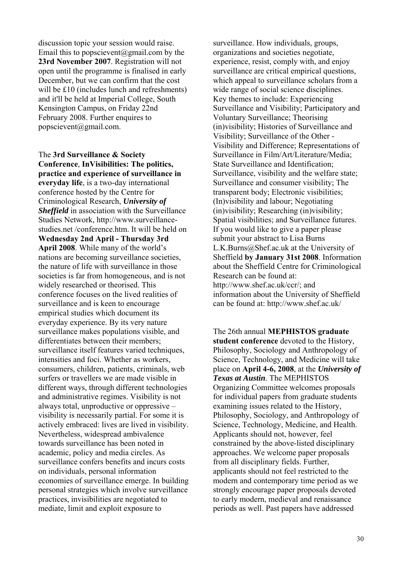discussion topic your session would raise. Email this to popscievent@gmail.com by the **23rd November 2007**. Registration will not open until the programme is finalised in early December, but we can confirm that the cost will be £10 (includes lunch and refreshments) and it'll be held at Imperial College, South Kensington Campus, on Friday 22nd February 2008. Further enquires to popscievent@gmail.com.

The **3rd Surveillance & Society Conference**, **InVisibilities: The politics, practice and experience of surveillance in everyday life**, is a two-day international conference hosted by the Centre for Criminological Research, *University of Sheffield* in association with the Surveillance Studies Network, http://www.surveillancestudies net /conference htm. It will be held on **Wednesday 2nd April - Thursday 3rd April 2008**. While many of the world's nations are becoming surveillance societies, the nature of life with surveillance in those societies is far from homogeneous, and is not widely researched or theorised. This conference focuses on the lived realities of surveillance and is keen to encourage empirical studies which document its everyday experience. By its very nature surveillance makes populations visible, and differentiates between their members; surveillance itself features varied techniques, intensities and foci. Whether as workers, consumers, children, patients, criminals, web surfers or travellers we are made visible in different ways, through different technologies and administrative regimes. Visibility is not always total, unproductive or oppressive – visibility is necessarily partial. For some it is actively embraced: lives are lived in visibility. Nevertheless, widespread ambivalence towards surveillance has been noted in academic, policy and media circles. As surveillance confers benefits and incurs costs on individuals, personal information economies of surveillance emerge. In building personal strategies which involve surveillance practices, invisibilities are negotiated to mediate, limit and exploit exposure to

surveillance. How individuals, groups, organizations and societies negotiate, experience, resist, comply with, and enjoy surveillance are critical empirical questions, which appeal to surveillance scholars from a wide range of social science disciplines. Key themes to include: Experiencing Surveillance and Visibility; Participatory and Voluntary Surveillance; Theorising (in)visibility; Histories of Surveillance and Visibility; Surveillance of the Other - Visibility and Difference; Representations of Surveillance in Film/Art/Literature/Media; State Surveillance and Identification; Surveillance, visibility and the welfare state; Surveillance and consumer visibility; The transparent body; Electronic visibilities; (In)visibility and labour; Negotiating (in)visibility; Researching (in)visibility; Spatial visibilities; and Surveillance futures. If you would like to give a paper please submit your abstract to Lisa Burns L.K.Burns@Shef.ac.uk at the University of Sheffield **by January 31st 2008**. Information about the Sheffield Centre for Criminological Research can be found at: http://www.shef.ac.uk/ccr/; and information about the University of Sheffield can be found at: http://www.shef.ac.uk/

The 26th annual **MEPHISTOS graduate student conference** devoted to the History, Philosophy, Sociology and Anthropology of Science, Technology, and Medicine will take place on **April 4-6, 2008**, at the *University of Texas at Austin*. The MEPHISTOS Organizing Committee welcomes proposals for individual papers from graduate students examining issues related to the History, Philosophy, Sociology, and Anthropology of Science, Technology, Medicine, and Health. Applicants should not, however, feel constrained by the above-listed disciplinary approaches. We welcome paper proposals from all disciplinary fields. Further, applicants should not feel restricted to the modern and contemporary time period as we strongly encourage paper proposals devoted to early modern, medieval and renaissance periods as well. Past papers have addressed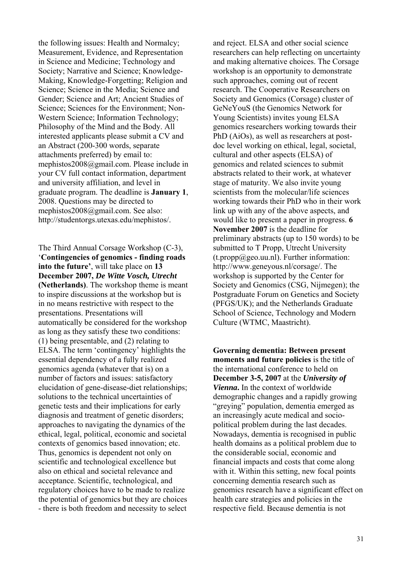the following issues: Health and Normalcy; Measurement, Evidence, and Representation in Science and Medicine; Technology and Society; Narrative and Science; Knowledge-Making, Knowledge-Forgetting; Religion and Science; Science in the Media; Science and Gender; Science and Art; Ancient Studies of Science; Sciences for the Environment; Non-Western Science; Information Technology; Philosophy of the Mind and the Body. All interested applicants please submit a CV and an Abstract (200-300 words, separate attachments preferred) by email to: mephistos2008@gmail.com. Please include in your CV full contact information, department and university affiliation, and level in graduate program. The deadline is **January 1**, 2008. Questions may be directed to mephistos2008@gmail.com. See also: http://studentorgs.utexas.edu/mephistos/.

The Third Annual Corsage Workshop (C-3), '**Contingencies of genomics - finding roads into the future'**, will take place on **13 December 2007,** *De Witte Vosch, Utrecht* **(Netherlands)**. The workshop theme is meant to inspire discussions at the workshop but is in no means restrictive with respect to the presentations. Presentations will automatically be considered for the workshop as long as they satisfy these two conditions: (1) being presentable, and (2) relating to ELSA. The term 'contingency' highlights the essential dependency of a fully realized genomics agenda (whatever that is) on a number of factors and issues: satisfactory elucidation of gene-disease-diet relationships; solutions to the technical uncertainties of genetic tests and their implications for early diagnosis and treatment of genetic disorders; approaches to navigating the dynamics of the ethical, legal, political, economic and societal contexts of genomics based innovation; etc. Thus, genomics is dependent not only on scientific and technological excellence but also on ethical and societal relevance and acceptance. Scientific, technological, and regulatory choices have to be made to realize the potential of genomics but they are choices - there is both freedom and necessity to select

and reject. ELSA and other social science researchers can help reflecting on uncertainty and making alternative choices. The Corsage workshop is an opportunity to demonstrate such approaches, coming out of recent research. The Cooperative Researchers on Society and Genomics (Corsage) cluster of GeNeYouS (the Genomics Network for Young Scientists) invites young ELSA genomics researchers working towards their PhD (AiOs), as well as researchers at postdoc level working on ethical, legal, societal, cultural and other aspects (ELSA) of genomics and related sciences to submit abstracts related to their work, at whatever stage of maturity. We also invite young scientists from the molecular/life sciences working towards their PhD who in their work link up with any of the above aspects, and would like to present a paper in progress. **6 November 2007** is the deadline for preliminary abstracts (up to 150 words) to be submitted to T Propp. Utrecht University  $(t. propp@geo.uu.nl)$ . Further information: http://www.geneyous.nl/corsage/. The workshop is supported by the Center for Society and Genomics (CSG, Nijmegen); the Postgraduate Forum on Genetics and Society (PFGS/UK); and the Netherlands Graduate School of Science, Technology and Modern Culture (WTMC, Maastricht).

**Governing dementia: Between present moments and future policies** is the title of the international conference to held on **December 3-5, 2007** at the *University of Vienna***.** In the context of worldwide demographic changes and a rapidly growing "greying" population, dementia emerged as an increasingly acute medical and sociopolitical problem during the last decades. Nowadays, dementia is recognised in public health domains as a political problem due to the considerable social, economic and financial impacts and costs that come along with it. Within this setting, new focal points concerning dementia research such as genomics research have a significant effect on health care strategies and policies in the respective field. Because dementia is not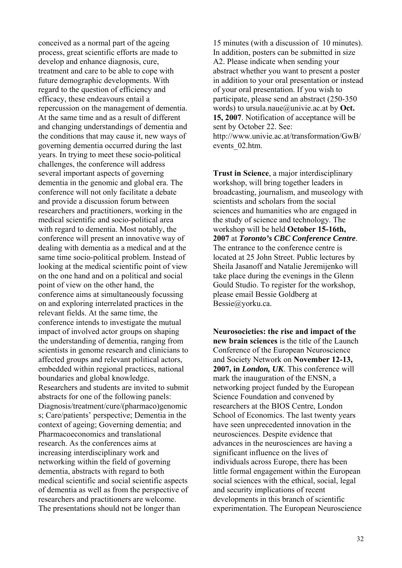conceived as a normal part of the ageing process, great scientific efforts are made to develop and enhance diagnosis, cure, treatment and care to be able to cope with future demographic developments. With regard to the question of efficiency and efficacy, these endeavours entail a repercussion on the management of dementia. At the same time and as a result of different and changing understandings of dementia and the conditions that may cause it, new ways of governing dementia occurred during the last years. In trying to meet these socio-political challenges, the conference will address several important aspects of governing dementia in the genomic and global era. The conference will not only facilitate a debate and provide a discussion forum between researchers and practitioners, working in the medical scientific and socio-political area with regard to dementia. Most notably, the conference will present an innovative way of dealing with dementia as a medical and at the same time socio-political problem. Instead of looking at the medical scientific point of view on the one hand and on a political and social point of view on the other hand, the conference aims at simultaneously focussing on and exploring interrelated practices in the relevant fields. At the same time, the conference intends to investigate the mutual impact of involved actor groups on shaping the understanding of dementia, ranging from scientists in genome research and clinicians to affected groups and relevant political actors, embedded within regional practices, national boundaries and global knowledge. Researchers and students are invited to submit abstracts for one of the following panels: Diagnosis/treatment/cure/(pharmaco)genomic s; Care/patients' perspective; Dementia in the context of ageing; Governing dementia; and Pharmacoeconomics and translational research. As the conferences aims at increasing interdisciplinary work and networking within the field of governing dementia, abstracts with regard to both medical scientific and social scientific aspects of dementia as well as from the perspective of researchers and practitioners are welcome. The presentations should not be longer than

15 minutes (with a discussion of 10 minutes). In addition, posters can be submitted in size A2. Please indicate when sending your abstract whether you want to present a poster in addition to your oral presentation or instead of your oral presentation. If you wish to participate, please send an abstract (250-350 words) to ursula.naue@univie.ac.at by **Oct. 15, 2007**. Notification of acceptance will be sent by October 22. See: http://www.univie.ac.at/transformation/GwB/ events\_02.htm.

**Trust in Science**, a major interdisciplinary workshop, will bring together leaders in broadcasting, journalism, and museology with scientists and scholars from the social sciences and humanities who are engaged in the study of science and technology. The workshop will be held **October 15-16th, 2007** at *Toronto's CBC Conference Centre*. The entrance to the conference centre is located at 25 John Street. Public lectures by Sheila Jasanoff and Natalie Jeremijenko will take place during the evenings in the Glenn Gould Studio. To register for the workshop, please email Bessie Goldberg at Bessie@yorku.ca.

**Neurosocieties: the rise and impact of the new brain sciences** is the title of the Launch Conference of the European Neuroscience and Society Network on **November 12-13, 2007, in** *London, UK*. This conference will mark the inauguration of the ENSN, a networking project funded by the European Science Foundation and convened by researchers at the BIOS Centre, London School of Economics. The last twenty years have seen unprecedented innovation in the neurosciences. Despite evidence that advances in the neurosciences are having a significant influence on the lives of individuals across Europe, there has been little formal engagement within the European social sciences with the ethical, social, legal and security implications of recent developments in this branch of scientific experimentation. The European Neuroscience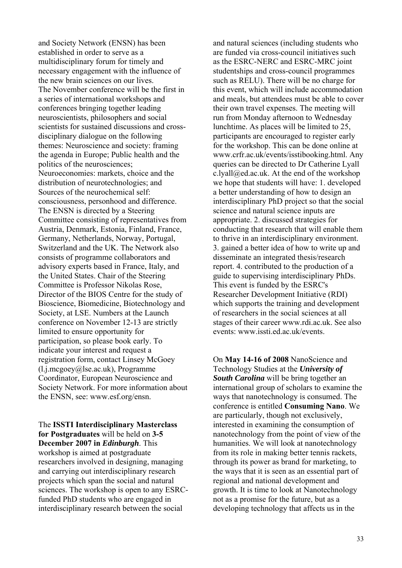and Society Network (ENSN) has been established in order to serve as a multidisciplinary forum for timely and necessary engagement with the influence of the new brain sciences on our lives. The November conference will be the first in a series of international workshops and conferences bringing together leading neuroscientists, philosophers and social scientists for sustained discussions and crossdisciplinary dialogue on the following themes: Neuroscience and society: framing the agenda in Europe; Public health and the politics of the neurosciences; Neuroeconomies: markets, choice and the distribution of neurotechnologies; and Sources of the neurochemical self: consciousness, personhood and difference. The ENSN is directed by a Steering Committee consisting of representatives from Austria, Denmark, Estonia, Finland, France, Germany, Netherlands, Norway, Portugal, Switzerland and the UK. The Network also consists of programme collaborators and advisory experts based in France, Italy, and the United States. Chair of the Steering Committee is Professor Nikolas Rose, Director of the BIOS Centre for the study of Bioscience, Biomedicine, Biotechnology and Society, at LSE. Numbers at the Launch conference on November 12-13 are strictly limited to ensure opportunity for participation, so please book early. To indicate your interest and request a registration form, contact Linsey McGoey (l.j.mcgoey@lse.ac.uk), Programme Coordinator, European Neuroscience and Society Network. For more information about the ENSN, see: www.esf.org/ensn.

The **ISSTI Interdisciplinary Masterclass for Postgraduates** will be held on **3-5 December 2007 in** *Edinburgh*. This workshop is aimed at postgraduate researchers involved in designing, managing and carrying out interdisciplinary research projects which span the social and natural sciences. The workshop is open to any ESRCfunded PhD students who are engaged in interdisciplinary research between the social

and natural sciences (including students who are funded via cross-council initiatives such as the ESRC-NERC and ESRC-MRC joint studentships and cross-council programmes such as RELU). There will be no charge for this event, which will include accommodation and meals, but attendees must be able to cover their own travel expenses. The meeting will run from Monday afternoon to Wednesday lunchtime. As places will be limited to 25, participants are encouraged to register early for the workshop. This can be done online at www.crfr.ac.uk/events/isstibooking.html. Any queries can be directed to Dr Catherine Lyall c.lyall@ed.ac.uk. At the end of the workshop we hope that students will have: 1. developed a better understanding of how to design an interdisciplinary PhD project so that the social science and natural science inputs are appropriate. 2. discussed strategies for conducting that research that will enable them to thrive in an interdisciplinary environment. 3. gained a better idea of how to write up and disseminate an integrated thesis/research report. 4. contributed to the production of a guide to supervising interdisciplinary PhDs. This event is funded by the ESRC's Researcher Development Initiative (RDI) which supports the training and development of researchers in the social sciences at all stages of their career www.rdi.ac.uk. See also events: www.issti.ed.ac.uk/events.

On **May 14-16 of 2008** NanoScience and Technology Studies at the *University of South Carolina* will be bring together an international group of scholars to examine the ways that nanotechnology is consumed. The conference is entitled **Consuming Nano**. We are particularly, though not exclusively, interested in examining the consumption of nanotechnology from the point of view of the humanities. We will look at nanotechnology from its role in making better tennis rackets, through its power as brand for marketing, to the ways that it is seen as an essential part of regional and national development and growth. It is time to look at Nanotechnology not as a promise for the future, but as a developing technology that affects us in the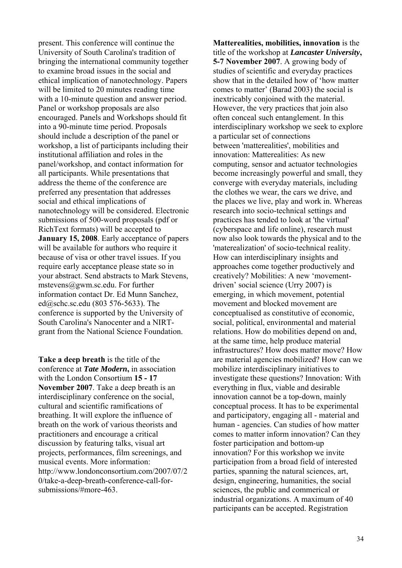present. This conference will continue the University of South Carolina's tradition of bringing the international community together to examine broad issues in the social and ethical implication of nanotechnology. Papers will be limited to 20 minutes reading time with a 10-minute question and answer period. Panel or workshop proposals are also encouraged. Panels and Workshops should fit into a 90-minute time period. Proposals should include a description of the panel or workshop, a list of participants including their institutional affiliation and roles in the panel/workshop, and contact information for all participants. While presentations that address the theme of the conference are preferred any presentation that addresses social and ethical implications of nanotechnology will be considered. Electronic submissions of 500-word proposals (pdf or RichText formats) will be accepted to **January 15, 2008**. Early acceptance of papers will be available for authors who require it because of visa or other travel issues. If you require early acceptance please state so in your abstract. Send abstracts to Mark Stevens, mstevens@gwm.sc.edu. For further information contact Dr. Ed Munn Sanchez, ed@schc.sc.edu (803 576-5633). The conference is supported by the University of South Carolina's Nanocenter and a NIRTgrant from the National Science Foundation.

**Take a deep breath** is the title of the conference at *Tate Modern***,** in association with the London Consortium **15 - 17 November 2007**. Take a deep breath is an interdisciplinary conference on the social, cultural and scientific ramifications of breathing. It will explore the influence of breath on the work of various theorists and practitioners and encourage a critical discussion by featuring talks, visual art projects, performances, film screenings, and musical events. More information: http://www.londonconsortium.com/2007/07/2 0/take-a-deep-breath-conference-call-forsubmissions/#more-463.

**Matterealities, mobilities, innovation** is the title of the workshop at *Lancaster University***, 5-7 November 2007**. A growing body of studies of scientific and everyday practices show that in the detailed how of 'how matter comes to matter' (Barad 2003) the social is inextricably conjoined with the material. However, the very practices that join also often conceal such entanglement. In this interdisciplinary workshop we seek to explore a particular set of connections between 'matterealities', mobilities and innovation: Matterealities: As new computing, sensor and actuator technologies become increasingly powerful and small, they converge with everyday materials, including the clothes we wear, the cars we drive, and the places we live, play and work in. Whereas research into socio-technical settings and practices has tended to look at 'the virtual' (cyberspace and life online), research must now also look towards the physical and to the 'materealization' of socio-technical reality. How can interdisciplinary insights and approaches come together productively and creatively? Mobilities: A new 'movementdriven' social science (Urry 2007) is emerging, in which movement, potential movement and blocked movement are conceptualised as constitutive of economic, social, political, environmental and material relations. How do mobilities depend on and, at the same time, help produce material infrastructures? How does matter move? How are material agencies mobilized? How can we mobilize interdisciplinary initiatives to investigate these questions? Innovation: With everything in flux, viable and desirable innovation cannot be a top-down, mainly conceptual process. It has to be experimental and participatory, engaging all - material and human - agencies. Can studies of how matter comes to matter inform innovation? Can they foster participation and bottom-up innovation? For this workshop we invite participation from a broad field of interested parties, spanning the natural sciences, art, design, engineering, humanities, the social sciences, the public and commerical or industrial organizations. A maximum of 40 participants can be accepted. Registration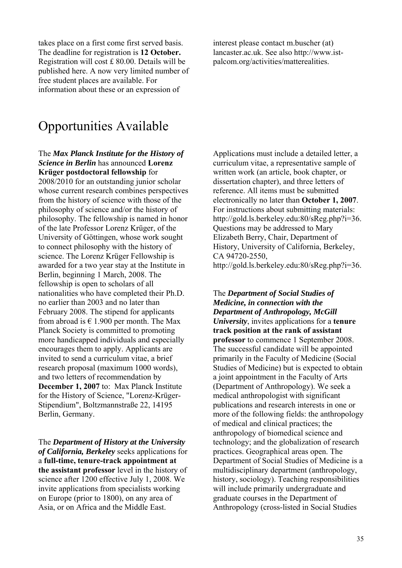takes place on a first come first served basis. The deadline for registration is **12 October.** Registration will cost £ 80.00. Details will be published here. A now very limited number of free student places are available. For information about these or an expression of

interest please contact m.buscher (at) lancaster.ac.uk. See also http://www.istpalcom.org/activities/matterealities.

# Opportunities Available

#### The *Max Planck Institute for the History of Science in Berlin* has announced **Lorenz Krüger postdoctoral fellowship** for

2008/2010 for an outstanding junior scholar whose current research combines perspectives from the history of science with those of the philosophy of science and/or the history of philosophy. The fellowship is named in honor of the late Professor Lorenz Krüger, of the University of Göttingen, whose work sought to connect philosophy with the history of science. The Lorenz Krüger Fellowship is awarded for a two year stay at the Institute in Berlin, beginning 1 March, 2008. The fellowship is open to scholars of all nationalities who have completed their Ph.D. no earlier than 2003 and no later than February 2008. The stipend for applicants from abroad is  $\in$  1.900 per month. The Max Planck Society is committed to promoting more handicapped individuals and especially encourages them to apply. Applicants are invited to send a curriculum vitae, a brief research proposal (maximum 1000 words), and two letters of recommendation by **December 1, 2007** to: Max Planck Institute for the History of Science, "Lorenz-Krüger-Stipendium", Boltzmannstraße 22, 14195 Berlin, Germany.

The *Department of History at the University of California, Berkeley* seeks applications for a **full-time, tenure-track appointment at the assistant professor** level in the history of science after 1200 effective July 1, 2008. We invite applications from specialists working on Europe (prior to 1800), on any area of Asia, or on Africa and the Middle East.

Applications must include a detailed letter, a curriculum vitae, a representative sample of written work (an article, book chapter, or dissertation chapter), and three letters of reference. All items must be submitted electronically no later than **October 1, 2007**. For instructions about submitting materials: http://gold.ls.berkeley.edu:80/sReg.php?i=36. Questions may be addressed to Mary Elizabeth Berry, Chair, Department of History, University of California, Berkeley, CA 94720-2550, http://gold.ls.berkeley.edu:80/sReg.php?i=36.

The *Department of Social Studies of Medicine, in connection with the Department of Anthropology, McGill University*, invites applications for a **tenure track position at the rank of assistant professor** to commence 1 September 2008. The successful candidate will be appointed primarily in the Faculty of Medicine (Social Studies of Medicine) but is expected to obtain a joint appointment in the Faculty of Arts (Department of Anthropology). We seek a medical anthropologist with significant publications and research interests in one or more of the following fields: the anthropology of medical and clinical practices; the anthropology of biomedical science and technology; and the globalization of research practices. Geographical areas open. The Department of Social Studies of Medicine is a multidisciplinary department (anthropology, history, sociology). Teaching responsibilities will include primarily undergraduate and graduate courses in the Department of Anthropology (cross-listed in Social Studies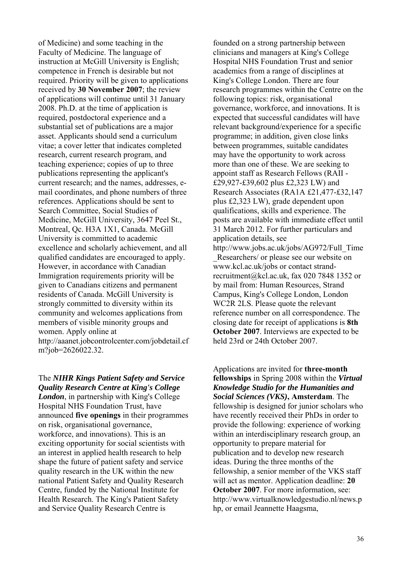of Medicine) and some teaching in the Faculty of Medicine. The language of instruction at McGill University is English; competence in French is desirable but not required. Priority will be given to applications received by **30 November 2007**; the review of applications will continue until 31 January 2008. Ph.D. at the time of application is required, postdoctoral experience and a substantial set of publications are a major asset. Applicants should send a curriculum vitae; a cover letter that indicates completed research, current research program, and teaching experience; copies of up to three publications representing the applicant's current research; and the names, addresses, email coordinates, and phone numbers of three references. Applications should be sent to Search Committee, Social Studies of Medicine, McGill University, 3647 Peel St., Montreal, Qc. H3A 1X1, Canada. McGill University is committed to academic excellence and scholarly achievement, and all qualified candidates are encouraged to apply. However, in accordance with Canadian Immigration requirements priority will be given to Canadians citizens and permanent residents of Canada. McGill University is strongly committed to diversity within its community and welcomes applications from members of visible minority groups and women. Apply online at http://aaanet.jobcontrolcenter.com/jobdetail.cf m?job=2626022.32.

#### The *NIHR Kings Patient Safety and Service Quality Research Centre at King's College London*, in partnership with King's College Hospital NHS Foundation Trust, have

announced **five openings** in their programmes on risk, organisational governance, workforce, and innovations). This is an exciting opportunity for social scientists with an interest in applied health research to help shape the future of patient safety and service quality research in the UK within the new national Patient Safety and Quality Research Centre, funded by the National Institute for Health Research. The King's Patient Safety and Service Quality Research Centre is

founded on a strong partnership between clinicians and managers at King's College Hospital NHS Foundation Trust and senior academics from a range of disciplines at King's College London. There are four research programmes within the Centre on the following topics: risk, organisational governance, workforce, and innovations. It is expected that successful candidates will have relevant background/experience for a specific programme; in addition, given close links between programmes, suitable candidates may have the opportunity to work across more than one of these. We are seeking to appoint staff as Research Fellows (RAII - £29,927-£39,602 plus £2,323 LW) and Research Associates (RA1A £21,477-£32,147 plus £2,323 LW), grade dependent upon qualifications, skills and experience. The posts are available with immediate effect until 31 March 2012. For further particulars and application details, see http://www.jobs.ac.uk/jobs/AG972/Full\_Time Researchers/ or please see our website on www.kcl.ac.uk/jobs or contact strand-

recruitment@kcl.ac.uk, fax 020 7848 1352 or by mail from: Human Resources, Strand Campus, King's College London, London WC2R 2LS. Please quote the relevant reference number on all correspondence. The closing date for receipt of applications is **8th October 2007**. Interviews are expected to be held 23rd or 24th October 2007.

Applications are invited for **three-month fellowships** in Spring 2008 within the *Virtual Knowledge Studio for the Humanities and Social Sciences (VKS)***, Amsterdam**. The fellowship is designed for junior scholars who have recently received their PhDs in order to provide the following: experience of working within an interdisciplinary research group, an opportunity to prepare material for publication and to develop new research ideas. During the three months of the fellowship, a senior member of the VKS staff will act as mentor. Application deadline: **20 October 2007**. For more information, see: http://www.virtualknowledgestudio.nl/news.p hp, or email Jeannette Haagsma,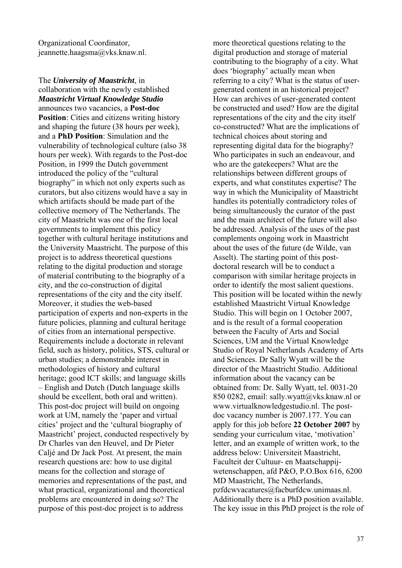Organizational Coordinator, jeannette.haagsma@vks.knaw.nl.

The *University of Maastricht*, in collaboration with the newly established *Maastricht Virtual Knowledge Studio* announces two vacancies, a **Post-doc Position:** Cities and citizens writing history and shaping the future (38 hours per week), and a **PhD Position**: Simulation and the vulnerability of technological culture (also 38 hours per week). With regards to the Post-doc Position, in 1999 the Dutch government introduced the policy of the "cultural biography" in which not only experts such as curators, but also citizens would have a say in which artifacts should be made part of the collective memory of The Netherlands. The city of Maastricht was one of the first local governments to implement this policy together with cultural heritage institutions and the University Maastricht. The purpose of this project is to address theoretical questions relating to the digital production and storage of material contributing to the biography of a city, and the co-construction of digital representations of the city and the city itself. Moreover, it studies the web-based participation of experts and non-experts in the future policies, planning and cultural heritage of cities from an international perspective. Requirements include a doctorate in relevant field, such as history, politics, STS, cultural or urban studies; a demonstrable interest in methodologies of history and cultural heritage; good ICT skills; and language skills – English and Dutch (Dutch language skills should be excellent, both oral and written). This post-doc project will build on ongoing work at UM, namely the 'paper and virtual cities' project and the 'cultural biography of Maastricht' project, conducted respectively by Dr Charles van den Heuvel, and Dr Pieter Caljé and Dr Jack Post. At present, the main research questions are: how to use digital means for the collection and storage of memories and representations of the past, and what practical, organizational and theoretical problems are encountered in doing so? The purpose of this post-doc project is to address

more theoretical questions relating to the digital production and storage of material contributing to the biography of a city. What does 'biography' actually mean when referring to a city? What is the status of usergenerated content in an historical project? How can archives of user-generated content be constructed and used? How are the digital representations of the city and the city itself co-constructed? What are the implications of technical choices about storing and representing digital data for the biography? Who participates in such an endeavour, and who are the gatekeepers? What are the relationships between different groups of experts, and what constitutes expertise? The way in which the Municipality of Maastricht handles its potentially contradictory roles of being simultaneously the curator of the past and the main architect of the future will also be addressed. Analysis of the uses of the past complements ongoing work in Maastricht about the uses of the future (de Wilde, van Asselt). The starting point of this postdoctoral research will be to conduct a comparison with similar heritage projects in order to identify the most salient questions. This position will be located within the newly established Maastricht Virtual Knowledge Studio. This will begin on 1 October 2007, and is the result of a formal cooperation between the Faculty of Arts and Social Sciences, UM and the Virtual Knowledge Studio of Royal Netherlands Academy of Arts and Sciences. Dr Sally Wyatt will be the director of the Maastricht Studio. Additional information about the vacancy can be obtained from: Dr. Sally Wyatt, tel. 0031-20 850 0282, email: sally.wyatt@vks.knaw.nl or www.virtualknowledgestudio.nl. The postdoc vacancy number is 2007.177. You can apply for this job before **22 October 2007** by sending your curriculum vitae, 'motivation' letter, and an example of written work, to the address below: Universiteit Maastricht, Faculteit der Cultuur- en Maatschappijwetenschappen, afd P&O, P.O.Box 616, 6200 MD Maastricht, The Netherlands, pzfdcwvacatures@facburfdcw.unimaas.nl. Additionally there is a PhD position available. The key issue in this PhD project is the role of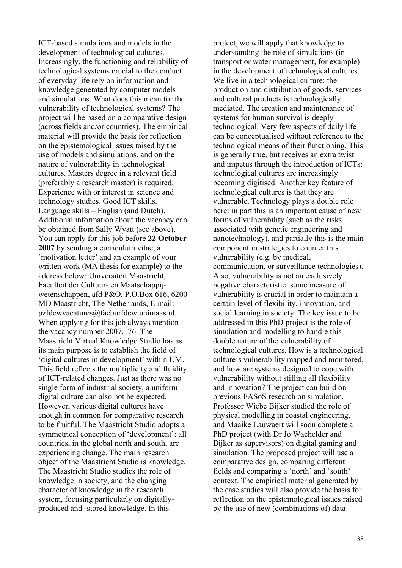ICT-based simulations and models in the development of technological cultures. Increasingly, the functioning and reliability of technological systems crucial to the conduct of everyday life rely on information and knowledge generated by computer models and simulations. What does this mean for the vulnerability of technological systems? The project will be based on a comparative design (across fields and/or countries). The empirical material will provide the basis for reflection on the epistemological issues raised by the use of models and simulations, and on the nature of vulnerability in technological cultures. Masters degree in a relevant field (preferably a research master) is required. Experience with or interest in science and technology studies. Good ICT skills. Language skills – English (and Dutch). Additional information about the vacancy can be obtained from Sally Wyatt (see above). You can apply for this job before **22 October 2007** by sending a curriculum vitae, a 'motivation letter' and an example of your written work (MA thesis for example) to the address below: Universiteit Maastricht, Faculteit der Cultuur- en Maatschappijwetenschappen, afd P&O, P.O.Box 616, 6200 MD Maastricht, The Netherlands, E-mail: pzfdcwvacatures@facburfdcw.unimaas.nl. When applying for this job always mention the vacancy number 2007.176. The Maastricht Virtual Knowledge Studio has as its main purpose is to establish the field of 'digital cultures in development' within UM. This field reflects the multiplicity and fluidity of ICT-related changes. Just as there was no single form of industrial society, a uniform digital culture can also not be expected. However, various digital cultures have enough in common for comparative research to be fruitful. The Maastricht Studio adopts a symmetrical conception of 'development': all countries, in the global north and south, are experiencing change. The main research object of the Maastricht Studio is knowledge. The Maastricht Studio studies the role of knowledge in society, and the changing character of knowledge in the research system, focusing particularly on digitallyproduced and -stored knowledge. In this

project, we will apply that knowledge to understanding the role of simulations (in transport or water management, for example) in the development of technological cultures. We live in a technological culture: the production and distribution of goods, services and cultural products is technologically mediated. The creation and maintenance of systems for human survival is deeply technological. Very few aspects of daily life can be conceptualised without reference to the technological means of their functioning. This is generally true, but receives an extra twist and impetus through the introduction of ICTs: technological cultures are increasingly becoming digitised. Another key feature of technological cultures is that they are vulnerable. Technology plays a double role here: in part this is an important cause of new forms of vulnerability (such as the risks associated with genetic engineering and nanotechnology), and partially this is the main component in strategies to counter this vulnerability (e.g. by medical, communication, or surveillance technologies). Also, vulnerability is not an exclusively negative characteristic: some measure of vulnerability is crucial in order to maintain a certain level of flexibility, innovation, and social learning in society. The key issue to be addressed in this PhD project is the role of simulation and modelling to handle this double nature of the vulnerability of technological cultures. How is a technological culture's vulnerability mapped and monitored, and how are systems designed to cope with vulnerability without stifling all flexibility and innovation? The project can build on previous FASoS research on simulation. Professor Wiebe Bijker studied the role of physical modelling in coastal engineering, and Maaike Lauwaert will soon complete a PhD project (with Dr Jo Wachelder and Bijker as supervisors) on digital gaming and simulation. The proposed project will use a comparative design, comparing different fields and comparing a 'north' and 'south' context. The empirical material generated by the case studies will also provide the basis for reflection on the epistemological issues raised by the use of new (combinations of) data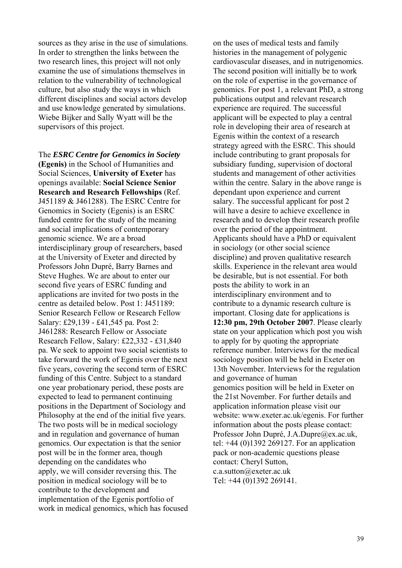sources as they arise in the use of simulations. In order to strengthen the links between the two research lines, this project will not only examine the use of simulations themselves in relation to the vulnerability of technological culture, but also study the ways in which different disciplines and social actors develop and use knowledge generated by simulations. Wiebe Bijker and Sally Wyatt will be the supervisors of this project.

The *ESRC Centre for Genomics in Society* **(Egenis)** in the School of Humanities and Social Sciences, **University of Exeter** has openings available: **Social Science Senior Research and Research Fellowships** (Ref. J451189 & J461288). The ESRC Centre for Genomics in Society (Egenis) is an ESRC funded centre for the study of the meaning and social implications of contemporary genomic science. We are a broad interdisciplinary group of researchers, based at the University of Exeter and directed by Professors John Dupré, Barry Barnes and Steve Hughes. We are about to enter our second five years of ESRC funding and applications are invited for two posts in the centre as detailed below. Post 1: J451189: Senior Research Fellow or Research Fellow Salary: £29,139 - £41,545 pa. Post 2: J461288: Research Fellow or Associate Research Fellow, Salary: £22,332 - £31,840 pa. We seek to appoint two social scientists to take forward the work of Egenis over the next five years, covering the second term of ESRC funding of this Centre. Subject to a standard one year probationary period, these posts are expected to lead to permanent continuing positions in the Department of Sociology and Philosophy at the end of the initial five years. The two posts will be in medical sociology and in regulation and governance of human genomics. Our expectation is that the senior post will be in the former area, though depending on the candidates who apply, we will consider reversing this. The position in medical sociology will be to contribute to the development and implementation of the Egenis portfolio of work in medical genomics, which has focused

on the uses of medical tests and family histories in the management of polygenic cardiovascular diseases, and in nutrigenomics. The second position will initially be to work on the role of expertise in the governance of genomics. For post 1, a relevant PhD, a strong publications output and relevant research experience are required. The successful applicant will be expected to play a central role in developing their area of research at Egenis within the context of a research strategy agreed with the ESRC. This should include contributing to grant proposals for subsidiary funding, supervision of doctoral students and management of other activities within the centre. Salary in the above range is dependant upon experience and current salary. The successful applicant for post 2 will have a desire to achieve excellence in research and to develop their research profile over the period of the appointment. Applicants should have a PhD or equivalent in sociology (or other social science discipline) and proven qualitative research skills. Experience in the relevant area would be desirable, but is not essential. For both posts the ability to work in an interdisciplinary environment and to contribute to a dynamic research culture is important. Closing date for applications is **12:30 pm, 29th October 2007**. Please clearly state on your application which post you wish to apply for by quoting the appropriate reference number. Interviews for the medical sociology position will be held in Exeter on 13th November. Interviews for the regulation and governance of human genomics position will be held in Exeter on the 21st November. For further details and application information please visit our website: www.exeter.ac.uk/egenis. For further information about the posts please contact: Professor John Dupré, J.A.Dupre@ex.ac.uk, tel: +44 (0)1392 269127. For an application pack or non-academic questions please contact: Cheryl Sutton, c.a.sutton@exeter.ac.uk Tel: +44 (0)1392 269141.